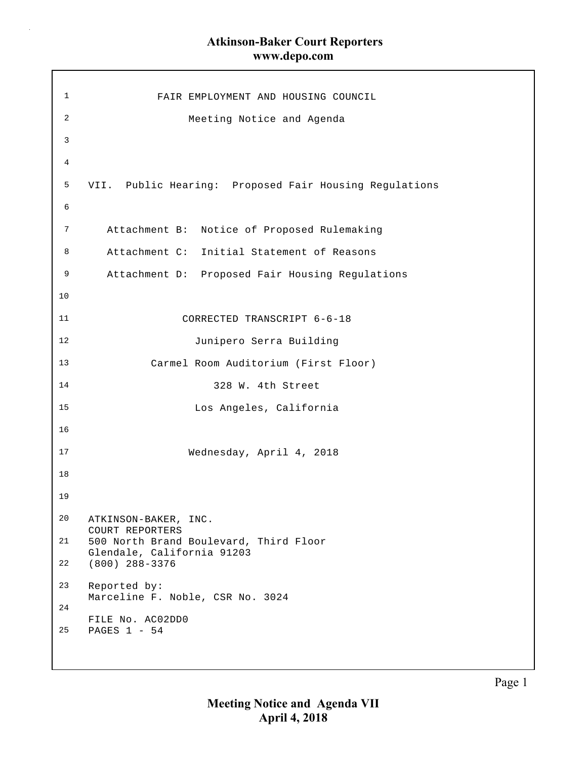$\bar{z}$ 

| 1  | FAIR EMPLOYMENT AND HOUSING COUNCIL                                  |
|----|----------------------------------------------------------------------|
| 2  | Meeting Notice and Agenda                                            |
| 3  |                                                                      |
| 4  |                                                                      |
| 5  | VII. Public Hearing: Proposed Fair Housing Regulations               |
| 6  |                                                                      |
| 7  | Attachment B: Notice of Proposed Rulemaking                          |
| 8  | Attachment C: Initial Statement of Reasons                           |
| 9  | Attachment D: Proposed Fair Housing Regulations                      |
| 10 |                                                                      |
| 11 | CORRECTED TRANSCRIPT 6-6-18                                          |
| 12 | Junipero Serra Building                                              |
| 13 | Carmel Room Auditorium (First Floor)                                 |
| 14 | 328 W. 4th Street                                                    |
| 15 | Los Angeles, California                                              |
| 16 |                                                                      |
| 17 | Wednesday, April 4, 2018                                             |
| 18 |                                                                      |
| 19 |                                                                      |
| 20 | ATKINSON-BAKER, INC.<br>COURT REPORTERS                              |
| 21 | 500 North Brand Boulevard, Third Floor<br>Glendale, California 91203 |
| 22 | $(800)$ 288-3376                                                     |
| 23 | Reported by:<br>Marceline F. Noble, CSR No. 3024                     |
| 24 | FILE No. AC02DD0                                                     |
| 25 | PAGES 1 - 54                                                         |
|    |                                                                      |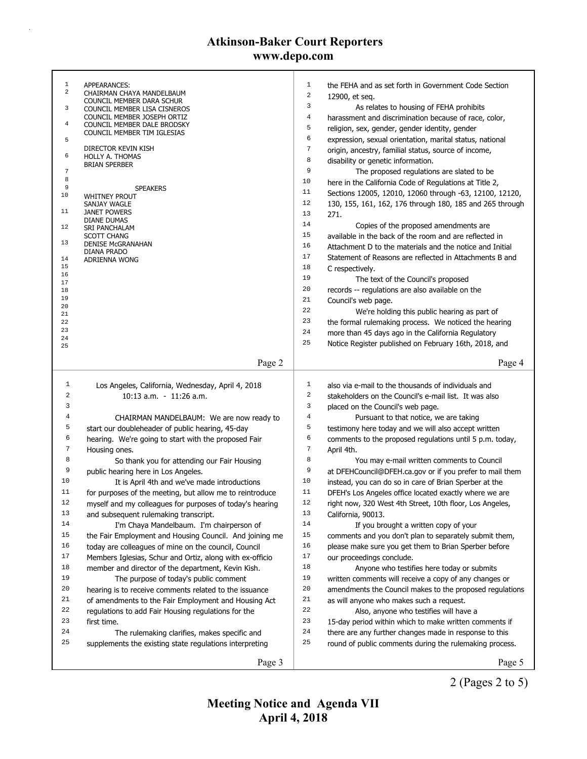| $\mathbf{1}$   | APPEARANCES:                                               | $\mathbf{1}$     | the FEHA and as set forth in Government Code Section     |
|----------------|------------------------------------------------------------|------------------|----------------------------------------------------------|
| $\overline{a}$ | CHAIRMAN CHAYA MANDELBAUM<br>COUNCIL MEMBER DARA SCHUR     | $\sqrt{2}$       | 12900, et seq.                                           |
| 3              | COUNCIL MEMBER LISA CISNEROS                               | 3                | As relates to housing of FEHA prohibits                  |
|                | COUNCIL MEMBER JOSEPH ORTIZ                                | $\,4$            | harassment and discrimination because of race, color,    |
| 4              | COUNCIL MEMBER DALE BRODSKY<br>COUNCIL MEMBER TIM IGLESIAS | 5                | religion, sex, gender, gender identity, gender           |
| 5              |                                                            | 6                | expression, sexual orientation, marital status, national |
|                | DIRECTOR KEVIN KISH                                        | $\sqrt{ }$       | origin, ancestry, familial status, source of income,     |
| 6              | HOLLY A. THOMAS<br><b>BRIAN SPERBER</b>                    | 8                | disability or genetic information.                       |
| $\sqrt{ }$     |                                                            | 9                | The proposed regulations are slated to be                |
| 8              |                                                            | 10               | here in the California Code of Regulations at Title 2,   |
| 9<br>10        | <b>SPEAKERS</b><br><b>WHITNEY PROUT</b>                    | 11               | Sections 12005, 12010, 12060 through -63, 12100, 12120,  |
|                | SANJAY WAGLE                                               | 12               | 130, 155, 161, 162, 176 through 180, 185 and 265 through |
| 11             | <b>JANET POWERS</b>                                        | 13               | 271.                                                     |
| 12             | DIANE DUMAS<br>SRI PANCHALAM                               | 14               | Copies of the proposed amendments are                    |
|                | <b>SCOTT CHANG</b>                                         | 15               | available in the back of the room and are reflected in   |
| 13             | <b>DENISE MCGRANAHAN</b>                                   | 16               | Attachment D to the materials and the notice and Initial |
| 14             | DIANA PRADO<br>ADRIENNA WONG                               | 17               | Statement of Reasons are reflected in Attachments B and  |
| 15             |                                                            | 18               | C respectively.                                          |
| 16             |                                                            | 19               | The text of the Council's proposed                       |
| 17<br>18       |                                                            | 20               | records -- regulations are also available on the         |
| 19             |                                                            | 21               | Council's web page.                                      |
| 20             |                                                            | 22               | We're holding this public hearing as part of             |
| 21<br>22       |                                                            | 23               | the formal rulemaking process. We noticed the hearing    |
| 23             |                                                            | 24               | more than 45 days ago in the California Regulatory       |
| 24             |                                                            | 25               | Notice Register published on February 16th, 2018, and    |
| 25             |                                                            |                  |                                                          |
|                | Page 2                                                     |                  | Page 4                                                   |
|                |                                                            |                  |                                                          |
|                |                                                            |                  |                                                          |
| $\mathbf{1}$   | Los Angeles, California, Wednesday, April 4, 2018          | $\mathbf{1}$     | also via e-mail to the thousands of individuals and      |
| $\sqrt{2}$     | 10:13 a.m. - 11:26 a.m.                                    | $\,2$            | stakeholders on the Council's e-mail list. It was also   |
| 3              |                                                            | 3                | placed on the Council's web page.                        |
| 4              | CHAIRMAN MANDELBAUM: We are now ready to                   | $\overline{4}$   | Pursuant to that notice, we are taking                   |
| 5              | start our doubleheader of public hearing, 45-day           | 5                | testimony here today and we will also accept written     |
| 6              | hearing. We're going to start with the proposed Fair       | 6                | comments to the proposed regulations until 5 p.m. today, |
| $\sqrt{ }$     | Housing ones.                                              | $\boldsymbol{7}$ | April 4th.                                               |
| 8              | So thank you for attending our Fair Housing                | 8                | You may e-mail written comments to Council               |
| 9              | public hearing here in Los Angeles.                        | 9                | at DFEHCouncil@DFEH.ca.gov or if you prefer to mail them |
| 10             | It is April 4th and we've made introductions               | 10               | instead, you can do so in care of Brian Sperber at the   |
| 11             | for purposes of the meeting, but allow me to reintroduce   | 11               | DFEH's Los Angeles office located exactly where we are   |
| 12             | myself and my colleagues for purposes of today's hearing   | 12               | right now, 320 West 4th Street, 10th floor, Los Angeles, |
| 13             | and subsequent rulemaking transcript.                      | 13               | California, 90013.                                       |
| 14             | I'm Chaya Mandelbaum. I'm chairperson of                   | 14               | If you brought a written copy of your                    |
| 15             | the Fair Employment and Housing Council. And joining me    | 15               | comments and you don't plan to separately submit them,   |
| 16             | today are colleagues of mine on the council, Council       | 16               | please make sure you get them to Brian Sperber before    |
| 17             | Members Iglesias, Schur and Ortiz, along with ex-officio   | $17$             | our proceedings conclude.                                |
| 18             | member and director of the department, Kevin Kish.         | 18               | Anyone who testifies here today or submits               |
| 19             | The purpose of today's public comment                      | 19               | written comments will receive a copy of any changes or   |
| 20             | hearing is to receive comments related to the issuance     | 20               | amendments the Council makes to the proposed regulations |
| 21             | of amendments to the Fair Employment and Housing Act       | 21               | as will anyone who makes such a request.                 |
| 22             | regulations to add Fair Housing regulations for the        | 22               | Also, anyone who testifies will have a                   |
| 23             | first time.                                                | 23               | 15-day period within which to make written comments if   |
| 24             | The rulemaking clarifies, makes specific and               | 24               | there are any further changes made in response to this   |
| 25             | supplements the existing state regulations interpreting    | 25               | round of public comments during the rulemaking process.  |
|                | Page 3                                                     |                  | Page 5                                                   |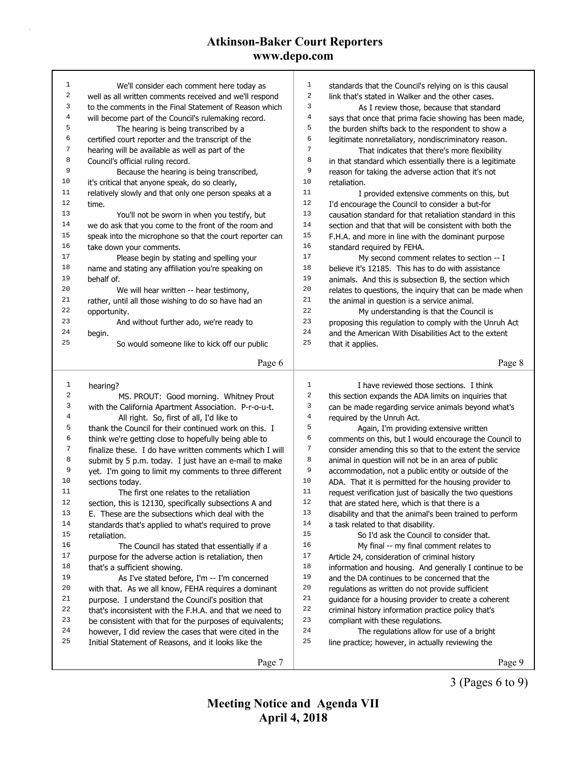| 1                | We'll consider each comment here today as                | 1                | standards that the Council's relying on is this causal   |
|------------------|----------------------------------------------------------|------------------|----------------------------------------------------------|
| $\boldsymbol{2}$ | well as all written comments received and we'll respond  | $\sqrt{2}$       | link that's stated in Walker and the other cases.        |
| 3                | to the comments in the Final Statement of Reason which   | 3                | As I review those, because that standard                 |
| $\,4$            | will become part of the Council's rulemaking record.     | $\overline{4}$   | says that once that prima facie showing has been made,   |
| 5                | The hearing is being transcribed by a                    | 5                | the burden shifts back to the respondent to show a       |
| 6                | certified court reporter and the transcript of the       | 6                | legitimate nonretaliatory, nondiscriminatory reason.     |
| 7                | hearing will be available as well as part of the         | $\boldsymbol{7}$ | That indicates that there's more flexibility             |
| 8                | Council's official ruling record.                        | 8                | in that standard which essentially there is a legitimate |
| 9                | Because the hearing is being transcribed,                | 9                | reason for taking the adverse action that it's not       |
| 10               | it's critical that anyone speak, do so clearly,          | 10               | retaliation.                                             |
| 11               | relatively slowly and that only one person speaks at a   | 11               | I provided extensive comments on this, but               |
| 12               | time.                                                    | 12               | I'd encourage the Council to consider a but-for          |
| 13               | You'll not be sworn in when you testify, but             | 13               | causation standard for that retaliation standard in this |
| 14               | we do ask that you come to the front of the room and     | 14               | section and that that will be consistent with both the   |
| 15               | speak into the microphone so that the court reporter can | 15               | F.H.A. and more in line with the dominant purpose        |
| 16               | take down your comments.                                 | 16               | standard required by FEHA.                               |
| 17               | Please begin by stating and spelling your                | 17               | My second comment relates to section -- I                |
| 18               | name and stating any affiliation you're speaking on      | 18               | believe it's 12185. This has to do with assistance       |
| 19               | behalf of.                                               | 19               | animals. And this is subsection B, the section which     |
| 20               |                                                          | 20               |                                                          |
| 21               | We will hear written -- hear testimony,                  | 21               | relates to questions, the inquiry that can be made when  |
| 22               | rather, until all those wishing to do so have had an     | 22               | the animal in question is a service animal.              |
| 23               | opportunity.                                             | 23               | My understanding is that the Council is                  |
| 24               | And without further ado, we're ready to                  | 24               | proposing this regulation to comply with the Unruh Act   |
| 25               | begin.                                                   | 25               | and the American With Disabilities Act to the extent     |
|                  | So would someone like to kick off our public             |                  | that it applies.                                         |
|                  | Page 6                                                   |                  | Page 8                                                   |
|                  |                                                          |                  |                                                          |
|                  |                                                          |                  |                                                          |
|                  |                                                          | $1\,$            |                                                          |
| 1                | hearing?                                                 |                  | I have reviewed those sections. I think                  |
| $\sqrt{2}$       | MS. PROUT: Good morning. Whitney Prout                   | $\sqrt{2}$       | this section expands the ADA limits on inquiries that    |
| $\mathsf 3$      | with the California Apartment Association. P-r-o-u-t.    | 3                | can be made regarding service animals beyond what's      |
| $\,4$            | All right. So, first of all, I'd like to                 | $\overline{4}$   | required by the Unruh Act.                               |
| 5                | thank the Council for their continued work on this. I    | 5                | Again, I'm providing extensive written                   |
| 6                | think we're getting close to hopefully being able to     | 6                | comments on this, but I would encourage the Council to   |
| 7                | finalize these. I do have written comments which I will  | 7                | consider amending this so that to the extent the service |
| 8                | submit by 5 p.m. today. I just have an e-mail to make    | 8                | animal in question will not be in an area of public      |
| 9                | yet. I'm going to limit my comments to three different   | 9                | accommodation, not a public entity or outside of the     |
| 10               | sections today.                                          | 10               | ADA. That it is permitted for the housing provider to    |
| 11               | The first one relates to the retaliation                 | 11               | request verification just of basically the two questions |
| 12               | section, this is 12130, specifically subsections A and   | 12               | that are stated here, which is that there is a           |
| 13               | E. These are the subsections which deal with the         | 13               | disability and that the animal's been trained to perform |
| 14               | standards that's applied to what's required to prove     | 14               | a task related to that disability.                       |
| 15               | retaliation.                                             | 15               | So I'd ask the Council to consider that.                 |
| 16               | The Council has stated that essentially if a             | 16               | My final -- my final comment relates to                  |
| 17               | purpose for the adverse action is retaliation, then      | 17               | Article 24, consideration of criminal history            |
| 18               | that's a sufficient showing.                             | 18               | information and housing. And generally I continue to be  |
| 19               | As I've stated before, I'm -- I'm concerned              | 19               | and the DA continues to be concerned that the            |
| 20               | with that. As we all know, FEHA requires a dominant      | 20               | regulations as written do not provide sufficient         |
| 21               | purpose. I understand the Council's position that        | 21               | guidance for a housing provider to create a coherent     |
| 22               | that's inconsistent with the F.H.A. and that we need to  | 22               | criminal history information practice policy that's      |
| 23               | be consistent with that for the purposes of equivalents; | 23               | compliant with these regulations.                        |
| 24               | however, I did review the cases that were cited in the   | 24               | The regulations allow for use of a bright                |
| 25               | Initial Statement of Reasons, and it looks like the      | 25               | line practice; however, in actually reviewing the        |
|                  | Page 7                                                   |                  | Page 9                                                   |

3 (Pages 6 to 9)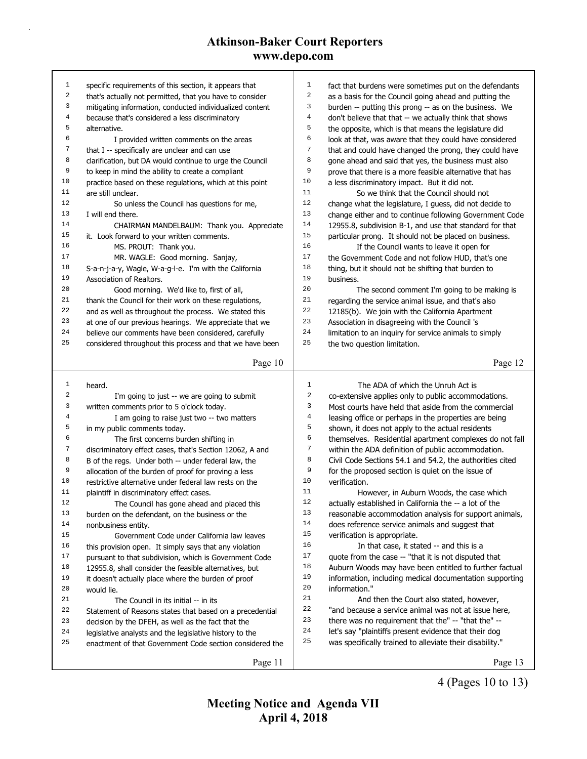| $\mathbf{1}$     | specific requirements of this section, it appears that                                                              | $\mathbf{1}$ | fact that burdens were sometimes put on the defendants   |
|------------------|---------------------------------------------------------------------------------------------------------------------|--------------|----------------------------------------------------------|
| $\mathbf 2$      | that's actually not permitted, that you have to consider                                                            | 2            | as a basis for the Council going ahead and putting the   |
| 3                | mitigating information, conducted individualized content                                                            | 3            | burden -- putting this prong -- as on the business. We   |
| $\overline{4}$   | because that's considered a less discriminatory                                                                     | 4            | don't believe that that -- we actually think that shows  |
| 5                | alternative.                                                                                                        | 5            | the opposite, which is that means the legislature did    |
| 6                | I provided written comments on the areas                                                                            | 6            | look at that, was aware that they could have considered  |
| 7                | that I -- specifically are unclear and can use                                                                      | 7            | that and could have changed the prong, they could have   |
| 8                | clarification, but DA would continue to urge the Council                                                            | 8            | gone ahead and said that yes, the business must also     |
| 9                | to keep in mind the ability to create a compliant                                                                   | 9            | prove that there is a more feasible alternative that has |
| 10               | practice based on these regulations, which at this point                                                            | 10           | a less discriminatory impact. But it did not.            |
| 11               | are still unclear.                                                                                                  | 11           | So we think that the Council should not                  |
| 12               | So unless the Council has questions for me,                                                                         | 12           | change what the legislature, I guess, did not decide to  |
| 13               | I will end there.                                                                                                   | 13           | change either and to continue following Government Code  |
| 14               | CHAIRMAN MANDELBAUM: Thank you. Appreciate                                                                          | 14           | 12955.8, subdivision B-1, and use that standard for that |
| 15               | it. Look forward to your written comments.                                                                          | 15           | particular prong. It should not be placed on business.   |
| 16               | MS. PROUT: Thank you.                                                                                               | 16           | If the Council wants to leave it open for                |
| $17\,$           | MR. WAGLE: Good morning. Sanjay,                                                                                    | 17           | the Government Code and not follow HUD, that's one       |
| 18               | S-a-n-j-a-y, Wagle, W-a-g-l-e. I'm with the California                                                              | 18           | thing, but it should not be shifting that burden to      |
| 19               | Association of Realtors.                                                                                            | 19           | business.                                                |
| 20               | Good morning. We'd like to, first of all,                                                                           | 20           | The second comment I'm going to be making is             |
| 21               | thank the Council for their work on these regulations,                                                              | 21           | regarding the service animal issue, and that's also      |
| 22               | and as well as throughout the process. We stated this                                                               | 22           | 12185(b). We join with the California Apartment          |
| 23               | at one of our previous hearings. We appreciate that we                                                              | 23           | Association in disagreeing with the Council 's           |
| 24               | believe our comments have been considered, carefully                                                                | 24           | limitation to an inquiry for service animals to simply   |
| 25               | considered throughout this process and that we have been                                                            | 25           | the two question limitation.                             |
|                  | Page 10                                                                                                             |              | Page 12                                                  |
|                  |                                                                                                                     |              |                                                          |
|                  |                                                                                                                     |              |                                                          |
| $\mathbf{1}$     | heard.                                                                                                              | 1            | The ADA of which the Unruh Act is                        |
| 2                | I'm going to just -- we are going to submit                                                                         | 2            | co-extensive applies only to public accommodations.      |
| 3                | written comments prior to 5 o'clock today.                                                                          | 3            | Most courts have held that aside from the commercial     |
| 4                | I am going to raise just two -- two matters                                                                         | 4            | leasing office or perhaps in the properties are being    |
| 5                | in my public comments today.                                                                                        | 5            | shown, it does not apply to the actual residents         |
| 6                | The first concerns burden shifting in                                                                               | 6            | themselves. Residential apartment complexes do not fall  |
| $\boldsymbol{7}$ | discriminatory effect cases, that's Section 12062, A and                                                            | 7            | within the ADA definition of public accommodation.       |
| 8                | B of the regs. Under both -- under federal law, the                                                                 | 8            | Civil Code Sections 54.1 and 54.2, the authorities cited |
| 9                | allocation of the burden of proof for proving a less                                                                | 9            | for the proposed section is quiet on the issue of        |
| 10               | restrictive alternative under federal law rests on the                                                              | 10           | verification.                                            |
| 11               | plaintiff in discriminatory effect cases.                                                                           | 11           | However, in Auburn Woods, the case which                 |
| 12               | The Council has gone ahead and placed this                                                                          | 12           | actually established in California the -- a lot of the   |
| 13               | burden on the defendant, on the business or the                                                                     | 13           | reasonable accommodation analysis for support animals,   |
| 14               | nonbusiness entity.                                                                                                 | 14           | does reference service animals and suggest that          |
| 15               | Government Code under California law leaves                                                                         | 15           | verification is appropriate.                             |
| 16               | this provision open. It simply says that any violation                                                              | 16           | In that case, it stated -- and this is a                 |
| 17               | pursuant to that subdivision, which is Government Code                                                              | 17           | quote from the case -- "that it is not disputed that     |
| 18               | 12955.8, shall consider the feasible alternatives, but                                                              | 18           | Auburn Woods may have been entitled to further factual   |
| 19               | it doesn't actually place where the burden of proof                                                                 | 19           | information, including medical documentation supporting  |
| 20               | would lie.                                                                                                          | 20           | information."                                            |
| 21               | The Council in its initial -- in its                                                                                | 21           | And then the Court also stated, however,                 |
| 22               |                                                                                                                     | 22           | "and because a service animal was not at issue here,     |
| 23               | Statement of Reasons states that based on a precedential<br>decision by the DFEH, as well as the fact that the      | 23           | there was no requirement that the" -- "that the" --      |
| 24               |                                                                                                                     | 24           | let's say "plaintiffs present evidence that their dog    |
| 25               | legislative analysts and the legislative history to the<br>enactment of that Government Code section considered the | 25           | was specifically trained to alleviate their disability." |
|                  | Page 11                                                                                                             |              | Page 13                                                  |

4 (Pages 10 to 13)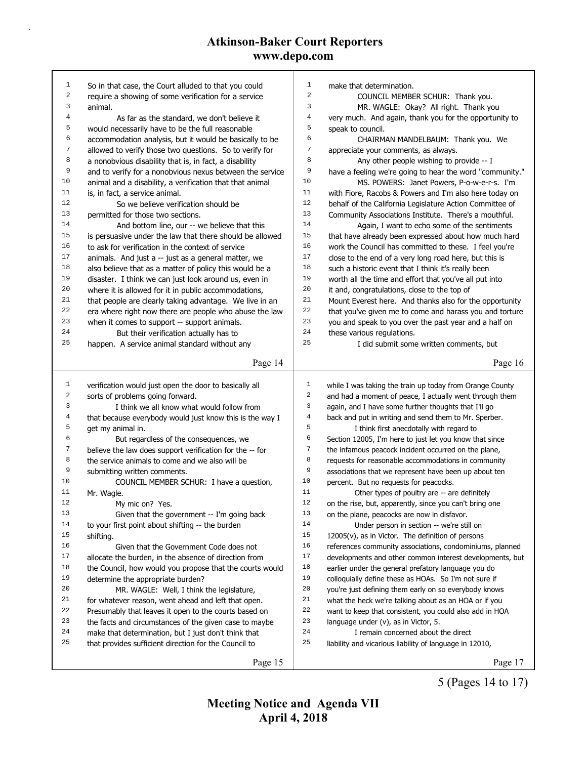| $\mathbf{1}$ |                                                          |                |                                                          |
|--------------|----------------------------------------------------------|----------------|----------------------------------------------------------|
|              | So in that case, the Court alluded to that you could     | $\mathbf 1$    | make that determination.                                 |
| $\sqrt{2}$   | require a showing of some verification for a service     | $\,2$          | COUNCIL MEMBER SCHUR: Thank you.                         |
| 3            | animal.                                                  | 3              | MR. WAGLE: Okay? All right. Thank you                    |
| 4            | As far as the standard, we don't believe it              | $\overline{4}$ | very much. And again, thank you for the opportunity to   |
| 5            | would necessarily have to be the full reasonable         | 5              | speak to council.                                        |
| 6            | accommodation analysis, but it would be basically to be  | 6              | CHAIRMAN MANDELBAUM: Thank you. We                       |
| 7            | allowed to verify those two questions. So to verify for  | 7              | appreciate your comments, as always.                     |
| 8            | a nonobvious disability that is, in fact, a disability   | 8              | Any other people wishing to provide -- I                 |
| 9            | and to verify for a nonobvious nexus between the service | 9              | have a feeling we're going to hear the word "community." |
| 10           | animal and a disability, a verification that that animal | 10             | MS. POWERS: Janet Powers, P-o-w-e-r-s. I'm               |
| 11           | is, in fact, a service animal.                           | 11             | with Fiore, Racobs & Powers and I'm also here today on   |
| 12           | So we believe verification should be                     | 12             | behalf of the California Legislature Action Committee of |
| 13           | permitted for those two sections.                        | 13             | Community Associations Institute. There's a mouthful.    |
| 14           | And bottom line, our -- we believe that this             | 14             | Again, I want to echo some of the sentiments             |
| 15           | is persuasive under the law that there should be allowed | 15             | that have already been expressed about how much hard     |
| 16           | to ask for verification in the context of service        | 16             | work the Council has committed to these. I feel you're   |
| 17           | animals. And just a -- just as a general matter, we      | 17             | close to the end of a very long road here, but this is   |
| 18           | also believe that as a matter of policy this would be a  | 18             | such a historic event that I think it's really been      |
| 19           | disaster. I think we can just look around us, even in    | 19             | worth all the time and effort that you've all put into   |
| 20           | where it is allowed for it in public accommodations,     | 20             | it and, congratulations, close to the top of             |
| 21           | that people are clearly taking advantage. We live in an  | 21             | Mount Everest here. And thanks also for the opportunity  |
| 22           | era where right now there are people who abuse the law   | 22             | that you've given me to come and harass you and torture  |
| 23           | when it comes to support -- support animals.             | 23             | you and speak to you over the past year and a half on    |
| 24           | But their verification actually has to                   | 24             | these various regulations.                               |
| 25           | happen. A service animal standard without any            | 25             | I did submit some written comments, but                  |
|              |                                                          |                |                                                          |
|              | Page 14                                                  |                | Page 16                                                  |
|              |                                                          |                |                                                          |
| $\mathbf{1}$ | verification would just open the door to basically all   | $1\,$<br>2     | while I was taking the train up today from Orange County |
| 2            | sorts of problems going forward.                         |                | and had a moment of peace, I actually went through them  |
| 3            |                                                          |                |                                                          |
|              | I think we all know what would follow from               | 3              | again, and I have some further thoughts that I'll go     |
| 4            | that because everybody would just know this is the way I | $\bf 4$        | back and put in writing and send them to Mr. Sperber.    |
| 5            | get my animal in.                                        | 5              | I think first anecdotally with regard to                 |
| 6            | But regardless of the consequences, we                   | 6              | Section 12005, I'm here to just let you know that since  |
| 7            | believe the law does support verification for the -- for | 7              | the infamous peacock incident occurred on the plane,     |
| 8            | the service animals to come and we also will be          | 8              | requests for reasonable accommodations in community      |
| 9            | submitting written comments.                             | 9              | associations that we represent have been up about ten    |
| 10           | COUNCIL MEMBER SCHUR: I have a question,                 | 10             | percent. But no requests for peacocks.                   |
| 11           | Mr. Wagle.                                               | 11             | Other types of poultry are -- are definitely             |
| 12           | My mic on? Yes.                                          | 12             | on the rise, but, apparently, since you can't bring one  |
| 13           | Given that the government -- I'm going back              | 13             | on the plane, peacocks are now in disfavor.              |
| 14           | to your first point about shifting -- the burden         | 14             | Under person in section -- we're still on                |
| 15           | shifting.                                                | 15             | 12005(v), as in Victor. The definition of persons        |
| 16           | Given that the Government Code does not                  | 16             | references community associations, condominiums, planned |
| $17\,$       | allocate the burden, in the absence of direction from    | 17             | developments and other common interest developments, but |
| 18           | the Council, how would you propose that the courts would | 18             | earlier under the general prefatory language you do      |
| 19           | determine the appropriate burden?                        | 19             | colloquially define these as HOAs. So I'm not sure if    |
| 20           | MR. WAGLE: Well, I think the legislature,                | 20             | you're just defining them early on so everybody knows    |
| 21           | for whatever reason, went ahead and left that open.      | 21             | what the heck we're talking about as an HOA or if you    |
| 22           | Presumably that leaves it open to the courts based on    | $2\sqrt{2}$    | want to keep that consistent, you could also add in HOA  |
| 23           | the facts and circumstances of the given case to maybe   | 23             | language under (v), as in Victor, 5.                     |
| 24           | make that determination, but I just don't think that     | 24             | I remain concerned about the direct                      |
| 25           | that provides sufficient direction for the Council to    | 25             | liability and vicarious liability of language in 12010,  |
|              | Page 15                                                  |                | Page 17                                                  |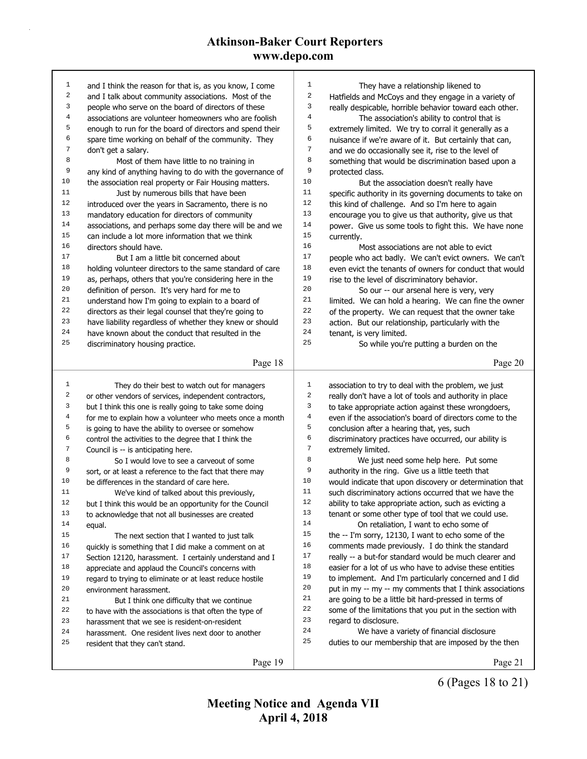| 1              | and I think the reason for that is, as you know, I come                                                         | 1              | They have a relationship likened to                                                                              |
|----------------|-----------------------------------------------------------------------------------------------------------------|----------------|------------------------------------------------------------------------------------------------------------------|
| 2              | and I talk about community associations. Most of the                                                            | 2              | Hatfields and McCoys and they engage in a variety of                                                             |
| 3              | people who serve on the board of directors of these                                                             | 3              | really despicable, horrible behavior toward each other.                                                          |
| 4              | associations are volunteer homeowners who are foolish                                                           | $\overline{4}$ | The association's ability to control that is                                                                     |
| 5              | enough to run for the board of directors and spend their                                                        | 5              | extremely limited. We try to corral it generally as a                                                            |
| 6              | spare time working on behalf of the community. They                                                             | 6              | nuisance if we're aware of it. But certainly that can,                                                           |
| 7              | don't get a salary.                                                                                             | 7              | and we do occasionally see it, rise to the level of                                                              |
| 8              | Most of them have little to no training in                                                                      | 8              | something that would be discrimination based upon a                                                              |
| 9              | any kind of anything having to do with the governance of                                                        | $\mathsf 9$    | protected class.                                                                                                 |
| 10             | the association real property or Fair Housing matters.                                                          | 10             | But the association doesn't really have                                                                          |
| 11             | Just by numerous bills that have been                                                                           | 11             | specific authority in its governing documents to take on                                                         |
| 12             | introduced over the years in Sacramento, there is no                                                            | 12             | this kind of challenge. And so I'm here to again                                                                 |
| 13             | mandatory education for directors of community                                                                  | 13             | encourage you to give us that authority, give us that                                                            |
| 14             | associations, and perhaps some day there will be and we                                                         | 14             | power. Give us some tools to fight this. We have none                                                            |
| 15             | can include a lot more information that we think                                                                | $15$           | currently.                                                                                                       |
| 16             | directors should have.                                                                                          | 16             | Most associations are not able to evict                                                                          |
| 17             | But I am a little bit concerned about                                                                           | 17             | people who act badly. We can't evict owners. We can't                                                            |
| 18             | holding volunteer directors to the same standard of care                                                        | 18             | even evict the tenants of owners for conduct that would                                                          |
| 19             | as, perhaps, others that you're considering here in the                                                         | 19             | rise to the level of discriminatory behavior.                                                                    |
| 20             | definition of person. It's very hard for me to                                                                  | 20             | So our -- our arsenal here is very, very                                                                         |
| 21             | understand how I'm going to explain to a board of                                                               | 21             | limited. We can hold a hearing. We can fine the owner                                                            |
| 22             | directors as their legal counsel that they're going to                                                          | 22             | of the property. We can request that the owner take                                                              |
| 23             | have liability regardless of whether they knew or should                                                        | 23             | action. But our relationship, particularly with the                                                              |
| 24             | have known about the conduct that resulted in the                                                               | 24             | tenant, is very limited.                                                                                         |
| 25             | discriminatory housing practice.                                                                                | 25             | So while you're putting a burden on the                                                                          |
|                | Page 18                                                                                                         |                | Page 20                                                                                                          |
|                |                                                                                                                 |                |                                                                                                                  |
|                |                                                                                                                 |                |                                                                                                                  |
| $\mathbf{1}$   |                                                                                                                 | $\mathbf{1}$   |                                                                                                                  |
| 2              | They do their best to watch out for managers                                                                    | $\sqrt{2}$     | association to try to deal with the problem, we just                                                             |
| 3              | or other vendors of services, independent contractors,                                                          | 3              | really don't have a lot of tools and authority in place                                                          |
| 4              | but I think this one is really going to take some doing                                                         | 4              | to take appropriate action against these wrongdoers,<br>even if the association's board of directors come to the |
| 5              | for me to explain how a volunteer who meets once a month                                                        | 5              |                                                                                                                  |
| 6              | is going to have the ability to oversee or somehow                                                              | 6              | conclusion after a hearing that, yes, such                                                                       |
| $\overline{7}$ | control the activities to the degree that I think the                                                           | $\sqrt{ }$     | discriminatory practices have occurred, our ability is<br>extremely limited.                                     |
| 8              | Council is -- is anticipating here.<br>So I would love to see a carveout of some                                | 8              | We just need some help here. Put some                                                                            |
| 9              |                                                                                                                 | 9              | authority in the ring. Give us a little teeth that                                                               |
| 10             | sort, or at least a reference to the fact that there may<br>be differences in the standard of care here.        | 10             | would indicate that upon discovery or determination that                                                         |
| 11             |                                                                                                                 | 11             | such discriminatory actions occurred that we have the                                                            |
| 12             | We've kind of talked about this previously,<br>but I think this would be an opportunity for the Council         | 12             | ability to take appropriate action, such as evicting a                                                           |
| 13             | to acknowledge that not all businesses are created                                                              | 13             | tenant or some other type of tool that we could use.                                                             |
| 14             | equal.                                                                                                          | 14             | On retaliation, I want to echo some of                                                                           |
| 15             | The next section that I wanted to just talk                                                                     | 15             | the -- I'm sorry, 12130, I want to echo some of the                                                              |
| 16             |                                                                                                                 | 16             | comments made previously. I do think the standard                                                                |
| 17             | quickly is something that I did make a comment on at<br>Section 12120, harassment. I certainly understand and I | 17             | really -- a but-for standard would be much clearer and                                                           |
| 18             | appreciate and applaud the Council's concerns with                                                              | 18             | easier for a lot of us who have to advise these entities                                                         |
| 19             | regard to trying to eliminate or at least reduce hostile                                                        | 19             | to implement. And I'm particularly concerned and I did                                                           |
| 20             | environment harassment.                                                                                         | 20             | put in my -- my -- my comments that I think associations                                                         |
| 21             | But I think one difficulty that we continue                                                                     | 21             | are going to be a little bit hard-pressed in terms of                                                            |
| 22             | to have with the associations is that often the type of                                                         | 22             | some of the limitations that you put in the section with                                                         |
| 23             | harassment that we see is resident-on-resident                                                                  | 23             | regard to disclosure.                                                                                            |
| 24             | harassment. One resident lives next door to another                                                             | 24             | We have a variety of financial disclosure                                                                        |
| 25             | resident that they can't stand.                                                                                 | 25             | duties to our membership that are imposed by the then                                                            |
|                | Page 19                                                                                                         |                | Page 21                                                                                                          |

6 (Pages 18 to 21)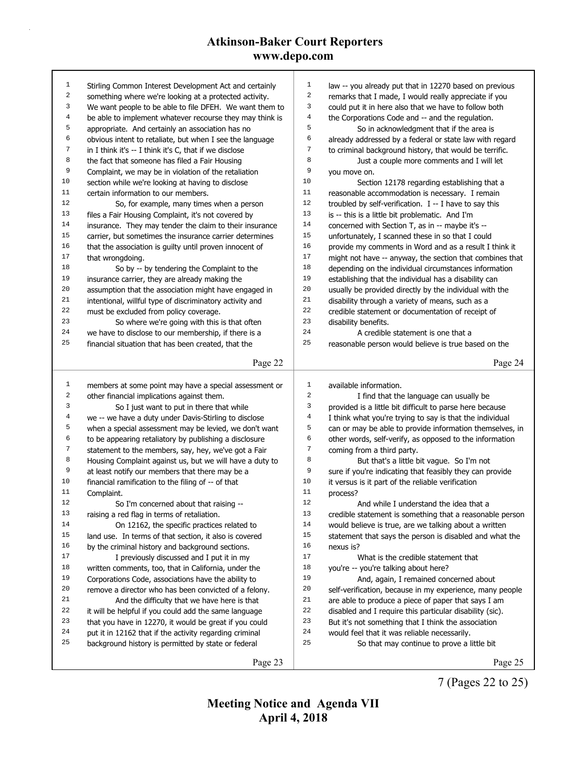| 1            | Stirling Common Interest Development Act and certainly   | $\mathbf{1}$ | law -- you already put that in 12270 based on previous   |
|--------------|----------------------------------------------------------|--------------|----------------------------------------------------------|
| 2            | something where we're looking at a protected activity.   | 2            | remarks that I made, I would really appreciate if you    |
| 3            | We want people to be able to file DFEH. We want them to  | 3            | could put it in here also that we have to follow both    |
| 4            | be able to implement whatever recourse they may think is | 4            | the Corporations Code and -- and the regulation.         |
| 5            | appropriate. And certainly an association has no         | 5            | So in acknowledgment that if the area is                 |
| 6            | obvious intent to retaliate, but when I see the language | 6            | already addressed by a federal or state law with regard  |
| 7            | in I think it's -- I think it's C, that if we disclose   | 7            | to criminal background history, that would be terrific.  |
| 8            | the fact that someone has filed a Fair Housing           | 8            | Just a couple more comments and I will let               |
| 9            | Complaint, we may be in violation of the retaliation     | 9            | you move on.                                             |
| 10           | section while we're looking at having to disclose        | 10           | Section 12178 regarding establishing that a              |
| 11           | certain information to our members.                      | 11           | reasonable accommodation is necessary. I remain          |
| 12           | So, for example, many times when a person                | 12           | troubled by self-verification. $I - I$ have to say this  |
| 13           | files a Fair Housing Complaint, it's not covered by      | 13           | is -- this is a little bit problematic. And I'm          |
| 14           | insurance. They may tender the claim to their insurance  | 14           | concerned with Section T, as in -- maybe it's --         |
| 15           | carrier, but sometimes the insurance carrier determines  | 15           | unfortunately, I scanned these in so that I could        |
| 16           | that the association is guilty until proven innocent of  | 16           | provide my comments in Word and as a result I think it   |
| 17           | that wrongdoing.                                         | 17           | might not have -- anyway, the section that combines that |
| 18           | So by -- by tendering the Complaint to the               | 18           | depending on the individual circumstances information    |
| 19           | insurance carrier, they are already making the           | 19           | establishing that the individual has a disability can    |
| 20           | assumption that the association might have engaged in    | 20           | usually be provided directly by the individual with the  |
| 21           | intentional, willful type of discriminatory activity and | 21           | disability through a variety of means, such as a         |
| 22           | must be excluded from policy coverage.                   | 22           | credible statement or documentation of receipt of        |
| 23           | So where we're going with this is that often             | 23           | disability benefits.                                     |
| 24           | we have to disclose to our membership, if there is a     | 24           | A credible statement is one that a                       |
| 25           | financial situation that has been created, that the      | 25           | reasonable person would believe is true based on the     |
|              |                                                          |              |                                                          |
|              | Page 22                                                  |              | Page 24                                                  |
|              |                                                          |              |                                                          |
|              |                                                          |              |                                                          |
| $\mathbf{1}$ | members at some point may have a special assessment or   | $\mathbf{1}$ | available information.                                   |
| 2            | other financial implications against them.               | 2            | I find that the language can usually be                  |
| 3            | So I just want to put in there that while                | 3            | provided is a little bit difficult to parse here because |
| 4            | we -- we have a duty under Davis-Stirling to disclose    | 4            | I think what you're trying to say is that the individual |
| 5            | when a special assessment may be levied, we don't want   | 5            | can or may be able to provide information themselves, in |
| 6            | to be appearing retaliatory by publishing a disclosure   | 6            | other words, self-verify, as opposed to the information  |
| 7            | statement to the members, say, hey, we've got a Fair     | 7            | coming from a third party.                               |
| 8            | Housing Complaint against us, but we will have a duty to | 8            | But that's a little bit vague. So I'm not                |
| 9            | at least notify our members that there may be a          | 9            | sure if you're indicating that feasibly they can provide |
| 10           | financial ramification to the filing of -- of that       | 10           | it versus is it part of the reliable verification        |
| 11           | Complaint.                                               | 11           | process?                                                 |
| 12           | So I'm concerned about that raising --                   | 12           | And while I understand the idea that a                   |
| 13           | raising a red flag in terms of retaliation.              | 13           | credible statement is something that a reasonable person |
| 14           | On 12162, the specific practices related to              | 14           | would believe is true, are we talking about a written    |
| 15           | land use. In terms of that section, it also is covered   | 15           | statement that says the person is disabled and what the  |
| 16           | by the criminal history and background sections.         | 16           | nexus is?                                                |
| 17           | I previously discussed and I put it in my                | 17           | What is the credible statement that                      |
| 18           | written comments, too, that in California, under the     | 18           | you're -- you're talking about here?                     |
| 19           | Corporations Code, associations have the ability to      | 19           | And, again, I remained concerned about                   |
| 20           | remove a director who has been convicted of a felony.    | 20           | self-verification, because in my experience, many people |
| 21           | And the difficulty that we have here is that             | 21           | are able to produce a piece of paper that says I am      |
| 22           | it will be helpful if you could add the same language    | 22           | disabled and I require this particular disability (sic). |
| 23           | that you have in 12270, it would be great if you could   | 23           | But it's not something that I think the association      |
| 24           | put it in 12162 that if the activity regarding criminal  | 24           | would feel that it was reliable necessarily.             |
| 25           | background history is permitted by state or federal      | 25           | So that may continue to prove a little bit               |
|              | Page 23                                                  |              | Page 25                                                  |

7 (Pages 22 to 25)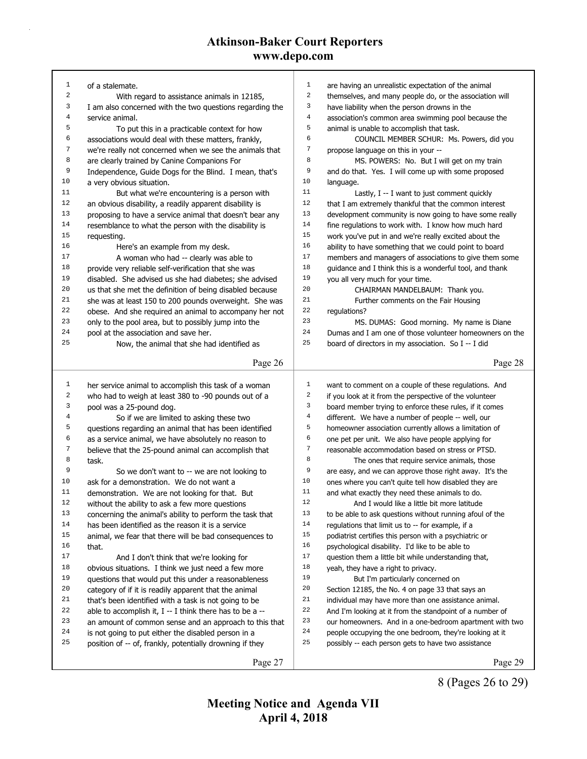| 1              |                                                                     | $\mathbf{1}$     |                                                          |
|----------------|---------------------------------------------------------------------|------------------|----------------------------------------------------------|
| 2              | of a stalemate.                                                     | $\boldsymbol{2}$ | are having an unrealistic expectation of the animal      |
| 3              | With regard to assistance animals in 12185,                         | 3                | themselves, and many people do, or the association will  |
| 4              | I am also concerned with the two questions regarding the            | $\bf 4$          | have liability when the person drowns in the             |
| 5              | service animal.                                                     | 5                | association's common area swimming pool because the      |
| 6              | To put this in a practicable context for how                        | 6                | animal is unable to accomplish that task.                |
|                | associations would deal with these matters, frankly,                |                  | COUNCIL MEMBER SCHUR: Ms. Powers, did you                |
| 7              | we're really not concerned when we see the animals that             | $\boldsymbol{7}$ | propose language on this in your --                      |
| 8              | are clearly trained by Canine Companions For                        | 8<br>9           | MS. POWERS: No. But I will get on my train               |
| 9              | Independence, Guide Dogs for the Blind. I mean, that's              |                  | and do that. Yes. I will come up with some proposed      |
| 10             | a very obvious situation.                                           | 10               | language.                                                |
| 11             | But what we're encountering is a person with                        | 11               | Lastly, I -- I want to just comment quickly              |
| 12             | an obvious disability, a readily apparent disability is             | 12               | that I am extremely thankful that the common interest    |
| 13             | proposing to have a service animal that doesn't bear any            | 13               | development community is now going to have some really   |
| 14             | resemblance to what the person with the disability is               | 14               | fine regulations to work with. I know how much hard      |
| 15             | requesting.                                                         | 15               | work you've put in and we're really excited about the    |
| 16             | Here's an example from my desk.                                     | 16               | ability to have something that we could point to board   |
| 17             | A woman who had -- clearly was able to                              | 17               | members and managers of associations to give them some   |
| 18             | provide very reliable self-verification that she was                | 18               | guidance and I think this is a wonderful tool, and thank |
| 19             | disabled. She advised us she had diabetes; she advised              | 19               | you all very much for your time.                         |
| 20             | us that she met the definition of being disabled because            | 20               | CHAIRMAN MANDELBAUM: Thank you.                          |
| 21             | she was at least 150 to 200 pounds overweight. She was              | 21               | Further comments on the Fair Housing                     |
| 22             | obese. And she required an animal to accompany her not              | 22               | regulations?                                             |
| 23             | only to the pool area, but to possibly jump into the                | 23               | MS. DUMAS: Good morning. My name is Diane                |
| 24             | pool at the association and save her.                               | 24               | Dumas and I am one of those volunteer homeowners on the  |
| 25             | Now, the animal that she had identified as                          | 25               | board of directors in my association. So I -- I did      |
|                |                                                                     |                  |                                                          |
|                | Page 26                                                             |                  | Page 28                                                  |
|                |                                                                     |                  |                                                          |
|                |                                                                     |                  |                                                          |
| 1              | her service animal to accomplish this task of a woman               | $\mathbf{1}$     | want to comment on a couple of these regulations. And    |
| 2              | who had to weigh at least 380 to -90 pounds out of a                | $\sqrt{2}$       | if you look at it from the perspective of the volunteer  |
| 3              | pool was a 25-pound dog.                                            | 3                | board member trying to enforce these rules, if it comes  |
| $\overline{4}$ | So if we are limited to asking these two                            | $\,4$            | different. We have a number of people -- well, our       |
| 5              | questions regarding an animal that has been identified              | 5                | homeowner association currently allows a limitation of   |
| 6              | as a service animal, we have absolutely no reason to                | 6                | one pet per unit. We also have people applying for       |
| 7              | believe that the 25-pound animal can accomplish that                | $\boldsymbol{7}$ | reasonable accommodation based on stress or PTSD.        |
| 8              | task.                                                               | 8                | The ones that require service animals, those             |
| 9              | So we don't want to -- we are not looking to                        | 9                | are easy, and we can approve those right away. It's the  |
| 10             | ask for a demonstration. We do not want a                           | 10               | ones where you can't quite tell how disabled they are    |
| 11             | demonstration. We are not looking for that. But                     | 11               | and what exactly they need these animals to do.          |
| 12             | without the ability to ask a few more questions                     | 12               | And I would like a little bit more latitude              |
| 13             | concerning the animal's ability to perform the task that            | 13               | to be able to ask questions without running afoul of the |
| 14             | has been identified as the reason it is a service                   | 14               | regulations that limit us to -- for example, if a        |
| 15             | animal, we fear that there will be bad consequences to              | 15               | podiatrist certifies this person with a psychiatric or   |
| 16             | that.                                                               | 16               | psychological disability. I'd like to be able to         |
| 17             | And I don't think that we're looking for                            | 17               | question them a little bit while understanding that,     |
| 18             | obvious situations. I think we just need a few more                 | 18               | yeah, they have a right to privacy.                      |
| 19             | questions that would put this under a reasonableness                | 19               | But I'm particularly concerned on                        |
| 20             | category of if it is readily apparent that the animal               | 20               | Section 12185, the No. 4 on page 33 that says an         |
| 21             | that's been identified with a task is not going to be               | 21               | individual may have more than one assistance animal.     |
| 22             | able to accomplish it, I -- I think there has to be a --            | 22               | And I'm looking at it from the standpoint of a number of |
| 23             |                                                                     | 23               | our homeowners. And in a one-bedroom apartment with two  |
| 24             | an amount of common sense and an approach to this that              | 24               |                                                          |
| 25             | is not going to put either the disabled person in a                 | 25               | people occupying the one bedroom, they're looking at it  |
|                | position of -- of, frankly, potentially drowning if they<br>Page 27 |                  | possibly -- each person gets to have two assistance      |

8 (Pages 26 to 29)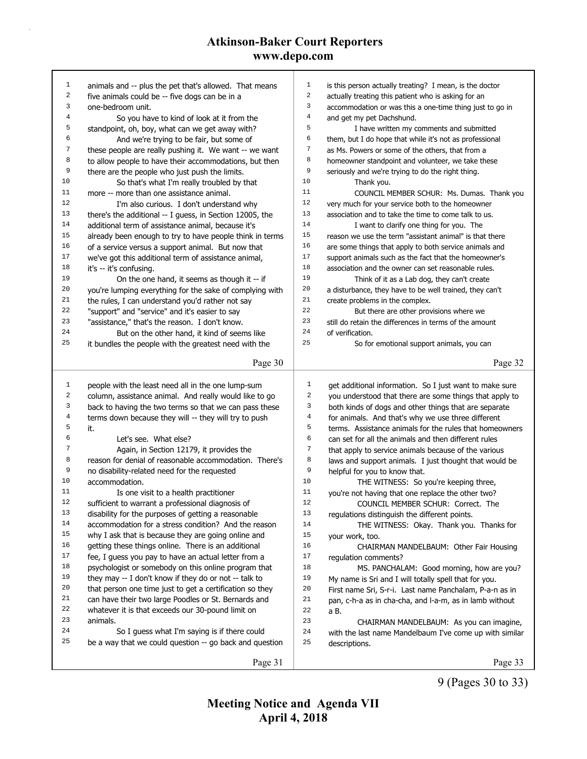| $\mathbf{1}$     | animals and -- plus the pet that's allowed. That means   | $\mathbf 1$             | is this person actually treating? I mean, is the doctor  |
|------------------|----------------------------------------------------------|-------------------------|----------------------------------------------------------|
| $\boldsymbol{2}$ | five animals could be -- five dogs can be in a           | $\sqrt{2}$              | actually treating this patient who is asking for an      |
| 3                | one-bedroom unit.                                        | $\overline{\mathbf{3}}$ | accommodation or was this a one-time thing just to go in |
| $\,4$            | So you have to kind of look at it from the               | $\,4$                   | and get my pet Dachshund.                                |
| 5                | standpoint, oh, boy, what can we get away with?          | 5                       | I have written my comments and submitted                 |
| 6                | And we're trying to be fair, but some of                 | 6                       | them, but I do hope that while it's not as professional  |
| 7                | these people are really pushing it. We want -- we want   | 7                       | as Ms. Powers or some of the others, that from a         |
| 8                | to allow people to have their accommodations, but then   | 8                       | homeowner standpoint and volunteer, we take these        |
| 9                | there are the people who just push the limits.           | 9                       | seriously and we're trying to do the right thing.        |
| 10               | So that's what I'm really troubled by that               | 10                      | Thank you.                                               |
| 11               | more -- more than one assistance animal.                 | 11                      | COUNCIL MEMBER SCHUR: Ms. Dumas. Thank you               |
| 12               | I'm also curious. I don't understand why                 | $1\,2$                  | very much for your service both to the homeowner         |
| 13               | there's the additional -- I guess, in Section 12005, the | 13                      | association and to take the time to come talk to us.     |
| 14               | additional term of assistance animal, because it's       | 14                      | I want to clarify one thing for you. The                 |
| 15               | already been enough to try to have people think in terms | 15                      | reason we use the term "assistant animal" is that there  |
| 16               | of a service versus a support animal. But now that       | 16                      | are some things that apply to both service animals and   |
| 17               | we've got this additional term of assistance animal,     | 17                      | support animals such as the fact that the homeowner's    |
| 18               | it's -- it's confusing.                                  | 18                      | association and the owner can set reasonable rules.      |
| 19               | On the one hand, it seems as though it -- if             | 19                      | Think of it as a Lab dog, they can't create              |
| 20               | you're lumping everything for the sake of complying with | 20                      | a disturbance, they have to be well trained, they can't  |
| 21               | the rules, I can understand you'd rather not say         | 21                      | create problems in the complex.                          |
| 22               | "support" and "service" and it's easier to say           | 22                      | But there are other provisions where we                  |
| 23               | "assistance," that's the reason. I don't know.           | 23                      | still do retain the differences in terms of the amount   |
| 24               | But on the other hand, it kind of seems like             | 24                      | of verification.                                         |
| 25               | it bundles the people with the greatest need with the    | 25                      | So for emotional support animals, you can                |
|                  |                                                          |                         |                                                          |
|                  | Page 30                                                  |                         | Page 32                                                  |
|                  |                                                          |                         |                                                          |
|                  |                                                          |                         |                                                          |
| 1                | people with the least need all in the one lump-sum       | $1\,$                   | get additional information. So I just want to make sure  |
| $\boldsymbol{2}$ | column, assistance animal. And really would like to go   | $\sqrt{2}$              | you understood that there are some things that apply to  |
| 3                | back to having the two terms so that we can pass these   | 3                       | both kinds of dogs and other things that are separate    |
| $\,4$            | terms down because they will -- they will try to push    | $\,4$                   | for animals. And that's why we use three different       |
| 5                | it.                                                      | 5                       | terms. Assistance animals for the rules that homeowners  |
| 6                | Let's see. What else?                                    | 6                       | can set for all the animals and then different rules     |
| 7                | Again, in Section 12179, it provides the                 | $\boldsymbol{7}$        | that apply to service animals because of the various     |
| 8                | reason for denial of reasonable accommodation. There's   | $\,8\,$                 | laws and support animals. I just thought that would be   |
| 9                | no disability-related need for the requested             | 9                       | helpful for you to know that.                            |
| 10               | accommodation.                                           | 10                      | THE WITNESS: So you're keeping three,                    |
| 11               | Is one visit to a health practitioner                    | 11                      | you're not having that one replace the other two?        |
| 12               | sufficient to warrant a professional diagnosis of        | 12                      | COUNCIL MEMBER SCHUR: Correct. The                       |
| 13               | disability for the purposes of getting a reasonable      | 13                      | regulations distinguish the different points.            |
| 14               | accommodation for a stress condition? And the reason     | 14                      | THE WITNESS: Okay. Thank you. Thanks for                 |
| 15               | why I ask that is because they are going online and      | 15                      | your work, too.                                          |
| 16               | getting these things online. There is an additional      | 16                      | CHAIRMAN MANDELBAUM: Other Fair Housing                  |
| 17               | fee, I guess you pay to have an actual letter from a     | 17                      | regulation comments?                                     |
| 18               | psychologist or somebody on this online program that     | 18                      | MS. PANCHALAM: Good morning, how are you?                |
| 19               | they may -- I don't know if they do or not -- talk to    | 19                      | My name is Sri and I will totally spell that for you.    |
| 20               | that person one time just to get a certification so they | 20                      | First name Sri, S-r-i. Last name Panchalam, P-a-n as in  |
| 21               | can have their two large Poodles or St. Bernards and     | 21                      | pan, c-h-a as in cha-cha, and l-a-m, as in lamb without  |
| 22               | whatever it is that exceeds our 30-pound limit on        | 22                      | a B.                                                     |
| 23               | animals.                                                 | 23                      | CHAIRMAN MANDELBAUM: As you can imagine,                 |
| 24               | So I guess what I'm saying is if there could             | 24                      | with the last name Mandelbaum I've come up with similar  |
| 25               | be a way that we could question -- go back and question  | 25                      | descriptions.                                            |
|                  | Page 31                                                  |                         | Page 33                                                  |

9 (Pages 30 to 33)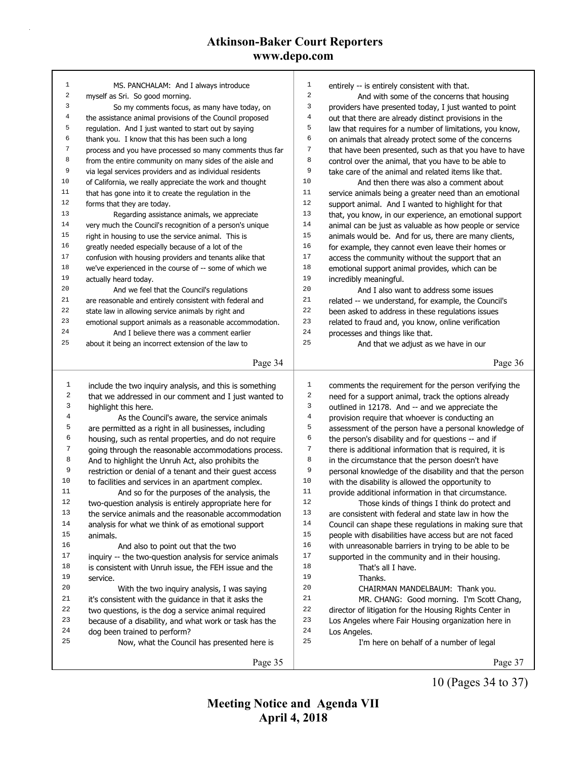| 1                | MS. PANCHALAM: And I always introduce                    | 1     | entirely -- is entirely consistent with that.            |
|------------------|----------------------------------------------------------|-------|----------------------------------------------------------|
| 2                | myself as Sri. So good morning.                          | 2     | And with some of the concerns that housing               |
| 3                | So my comments focus, as many have today, on             | 3     | providers have presented today, I just wanted to point   |
| 4                | the assistance animal provisions of the Council proposed | 4     | out that there are already distinct provisions in the    |
| 5                | regulation. And I just wanted to start out by saying     | 5     | law that requires for a number of limitations, you know, |
| 6                | thank you. I know that this has been such a long         | 6     | on animals that already protect some of the concerns     |
| 7                | process and you have processed so many comments thus far | 7     | that have been presented, such as that you have to have  |
| 8                | from the entire community on many sides of the aisle and | 8     | control over the animal, that you have to be able to     |
| 9                | via legal services providers and as individual residents | 9     | take care of the animal and related items like that.     |
| 10               | of California, we really appreciate the work and thought | 10    | And then there was also a comment about                  |
| 11               | that has gone into it to create the regulation in the    | 11    | service animals being a greater need than an emotional   |
| 12               | forms that they are today.                               | 12    | support animal. And I wanted to highlight for that       |
| 13               | Regarding assistance animals, we appreciate              | 13    | that, you know, in our experience, an emotional support  |
| 14               | very much the Council's recognition of a person's unique | 14    | animal can be just as valuable as how people or service  |
| 15               | right in housing to use the service animal. This is      | 15    | animals would be. And for us, there are many clients,    |
| 16               | greatly needed especially because of a lot of the        | 16    | for example, they cannot even leave their homes or       |
| 17               | confusion with housing providers and tenants alike that  | $17$  | access the community without the support that an         |
| 18               | we've experienced in the course of -- some of which we   | 18    | emotional support animal provides, which can be          |
| 19               | actually heard today.                                    | 19    | incredibly meaningful.                                   |
| 20               | And we feel that the Council's regulations               | 20    | And I also want to address some issues                   |
| 21               | are reasonable and entirely consistent with federal and  | 21    | related -- we understand, for example, the Council's     |
| 22               | state law in allowing service animals by right and       | 22    | been asked to address in these regulations issues        |
| 23               | emotional support animals as a reasonable accommodation. | 23    | related to fraud and, you know, online verification      |
| 24               | And I believe there was a comment earlier                | 24    | processes and things like that.                          |
| 25               | about it being an incorrect extension of the law to      | 25    | And that we adjust as we have in our                     |
|                  | Page 34                                                  |       | Page 36                                                  |
|                  |                                                          |       |                                                          |
| 1                | include the two inquiry analysis, and this is something  | 1     | comments the requirement for the person verifying the    |
| $\sqrt{2}$       | that we addressed in our comment and I just wanted to    | 2     | need for a support animal, track the options already     |
| 3                | highlight this here.                                     | 3     | outlined in 12178. And -- and we appreciate the          |
| $\overline{4}$   | As the Council's aware, the service animals              | $\,4$ | provision require that whoever is conducting an          |
| 5                | are permitted as a right in all businesses, including    | 5     | assessment of the person have a personal knowledge of    |
| 6                | housing, such as rental properties, and do not require   | 6     | the person's disability and for questions -- and if      |
| $\boldsymbol{7}$ | going through the reasonable accommodations process.     | 7     | there is additional information that is required, it is  |
| 8                | And to highlight the Unruh Act, also prohibits the       | 8     | in the circumstance that the person doesn't have         |
| 9                | restriction or denial of a tenant and their guest access | 9     | personal knowledge of the disability and that the person |
| 10               | to facilities and services in an apartment complex.      | 10    | with the disability is allowed the opportunity to        |
| 11               | And so for the purposes of the analysis, the             | 11    | provide additional information in that circumstance.     |
| 12               | two-question analysis is entirely appropriate here for   | 12    | Those kinds of things I think do protect and             |
| 13               | the service animals and the reasonable accommodation     | 13    | are consistent with federal and state law in how the     |
| 14               | analysis for what we think of as emotional support       | 14    | Council can shape these regulations in making sure that  |
| 15               | animals.                                                 | 15    | people with disabilities have access but are not faced   |
| 16               | And also to point out that the two                       | 16    | with unreasonable barriers in trying to be able to be    |
| 17               | inquiry -- the two-question analysis for service animals | 17    | supported in the community and in their housing.         |
| 18               | is consistent with Unruh issue, the FEH issue and the    | 18    | That's all I have.                                       |
| 19               | service.                                                 | 19    | Thanks.                                                  |
| 20               | With the two inquiry analysis, I was saying              | 20    | CHAIRMAN MANDELBAUM: Thank you.                          |
| 21               | it's consistent with the guidance in that it asks the    | 21    | MR. CHANG: Good morning. I'm Scott Chang,                |
| 22               |                                                          | 22    | director of litigation for the Housing Rights Center in  |
|                  | two questions, is the dog a service animal required      |       |                                                          |
| 23               | because of a disability, and what work or task has the   | 23    | Los Angeles where Fair Housing organization here in      |
| 24               | dog been trained to perform?                             | 24    | Los Angeles.                                             |
| 25               | Now, what the Council has presented here is              | 25    | I'm here on behalf of a number of legal                  |
|                  | Page 35                                                  |       | Page 37                                                  |

10 (Pages 34 to 37)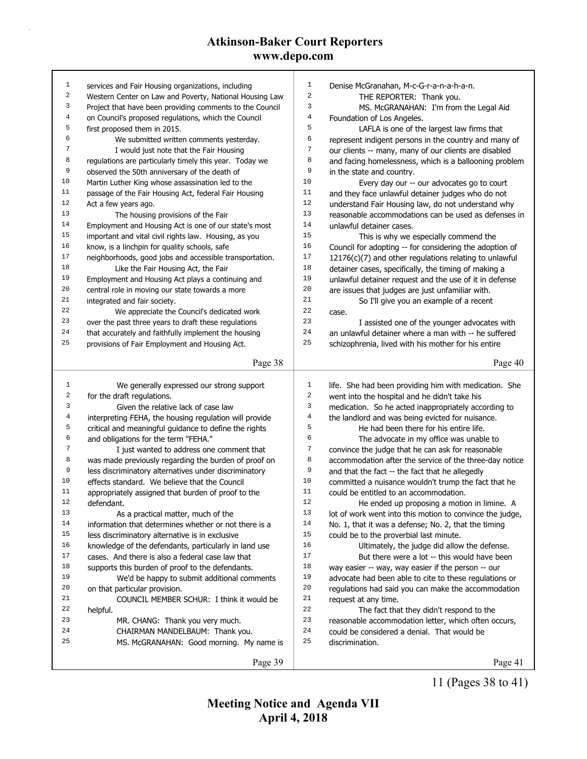| $\mathbf 1$             | services and Fair Housing organizations, including       | 1              | Denise McGranahan, M-c-G-r-a-n-a-h-a-n.                  |
|-------------------------|----------------------------------------------------------|----------------|----------------------------------------------------------|
| 2                       | Western Center on Law and Poverty, National Housing Law  | $\sqrt{2}$     | THE REPORTER: Thank you.                                 |
| 3                       | Project that have been providing comments to the Council | 3              | MS. McGRANAHAN: I'm from the Legal Aid                   |
| $\overline{\mathbf{4}}$ | on Council's proposed regulations, which the Council     | $\overline{4}$ | Foundation of Los Angeles.                               |
| 5                       | first proposed them in 2015.                             | 5              | LAFLA is one of the largest law firms that               |
| 6                       | We submitted written comments yesterday.                 | 6              | represent indigent persons in the country and many of    |
| 7                       | I would just note that the Fair Housing                  | 7              | our clients -- many, many of our clients are disabled    |
| 8                       | regulations are particularly timely this year. Today we  | 8              | and facing homelessness, which is a ballooning problem   |
| 9                       | observed the 50th anniversary of the death of            | 9              | in the state and country.                                |
| 10                      | Martin Luther King whose assassination led to the        | 10             | Every day our -- our advocates go to court               |
| 11                      | passage of the Fair Housing Act, federal Fair Housing    | 11             | and they face unlawful detainer judges who do not        |
| 12                      | Act a few years ago.                                     | 12             | understand Fair Housing law, do not understand why       |
| 13                      | The housing provisions of the Fair                       | 13             | reasonable accommodations can be used as defenses in     |
| 14                      | Employment and Housing Act is one of our state's most    | 14             | unlawful detainer cases.                                 |
| 15                      | important and vital civil rights law. Housing, as you    | 15             | This is why we especially commend the                    |
| 16                      | know, is a linchpin for quality schools, safe            | 16             | Council for adopting -- for considering the adoption of  |
| 17                      | neighborhoods, good jobs and accessible transportation.  | 17             | 12176(c)(7) and other regulations relating to unlawful   |
| 18                      | Like the Fair Housing Act, the Fair                      | 18             | detainer cases, specifically, the timing of making a     |
| 19                      | Employment and Housing Act plays a continuing and        | 19             | unlawful detainer request and the use of it in defense   |
| 20                      | central role in moving our state towards a more          | $20$           | are issues that judges are just unfamiliar with.         |
| 21                      | integrated and fair society.                             | 21             | So I'll give you an example of a recent                  |
| 22                      | We appreciate the Council's dedicated work               | 22             | case.                                                    |
| 23                      | over the past three years to draft these regulations     | 23             | I assisted one of the younger advocates with             |
| 24                      | that accurately and faithfully implement the housing     | 24             | an unlawful detainer where a man with -- he suffered     |
| 25                      | provisions of Fair Employment and Housing Act.           | 25             | schizophrenia, lived with his mother for his entire      |
|                         |                                                          |                |                                                          |
|                         | Page 38                                                  |                | Page 40                                                  |
|                         |                                                          |                |                                                          |
|                         |                                                          |                |                                                          |
| $\mathbf{1}$            | We generally expressed our strong support                | 1              | life. She had been providing him with medication. She    |
| 2                       | for the draft regulations.                               | 2              | went into the hospital and he didn't take his            |
| 3                       | Given the relative lack of case law                      | 3              | medication. So he acted inappropriately according to     |
| 4                       | interpreting FEHA, the housing regulation will provide   | $\,4$          | the landlord and was being evicted for nuisance.         |
| 5                       | critical and meaningful guidance to define the rights    | 5              | He had been there for his entire life.                   |
| 6                       | and obligations for the term "FEHA."                     | 6              | The advocate in my office was unable to                  |
| 7                       | I just wanted to address one comment that                | 7              | convince the judge that he can ask for reasonable        |
| 8                       | was made previously regarding the burden of proof on     | 8              | accommodation after the service of the three-day notice  |
| 9                       | less discriminatory alternatives under discriminatory    | 9              | and that the fact -- the fact that he allegedly          |
| 10                      | effects standard. We believe that the Council            | 10             | committed a nuisance wouldn't trump the fact that he     |
| 11                      | appropriately assigned that burden of proof to the       | 11             | could be entitled to an accommodation.                   |
| 12                      | defendant.                                               | 12             | He ended up proposing a motion in limine. A              |
| 13                      | As a practical matter, much of the                       | 13             | lot of work went into this motion to convince the judge, |
| 14                      | information that determines whether or not there is a    | 14             | No. 1, that it was a defense; No. 2, that the timing     |
| 15                      | less discriminatory alternative is in exclusive          | 15             | could be to the proverbial last minute.                  |
| 16                      | knowledge of the defendants, particularly in land use    | 16             | Ultimately, the judge did allow the defense.             |
| 17                      | cases. And there is also a federal case law that         | 17             | But there were a lot -- this would have been             |
| 18                      | supports this burden of proof to the defendants.         | 18             | way easier -- way, way easier if the person -- our       |
| 19                      | We'd be happy to submit additional comments              | 19             | advocate had been able to cite to these regulations or   |
| 20                      | on that particular provision.                            | $20$           | regulations had said you can make the accommodation      |
| 21                      | COUNCIL MEMBER SCHUR: I think it would be                | 21             | request at any time.                                     |
| 22                      | helpful.                                                 | 22             | The fact that they didn't respond to the                 |
| 23                      | MR. CHANG: Thank you very much.                          | 23             | reasonable accommodation letter, which often occurs,     |
| 24                      | CHAIRMAN MANDELBAUM: Thank you.                          | 24             | could be considered a denial. That would be              |
| 25                      | MS. McGRANAHAN: Good morning. My name is                 | 25             | discrimination.                                          |
|                         | Page 39                                                  |                | Page 41                                                  |

11 (Pages 38 to 41)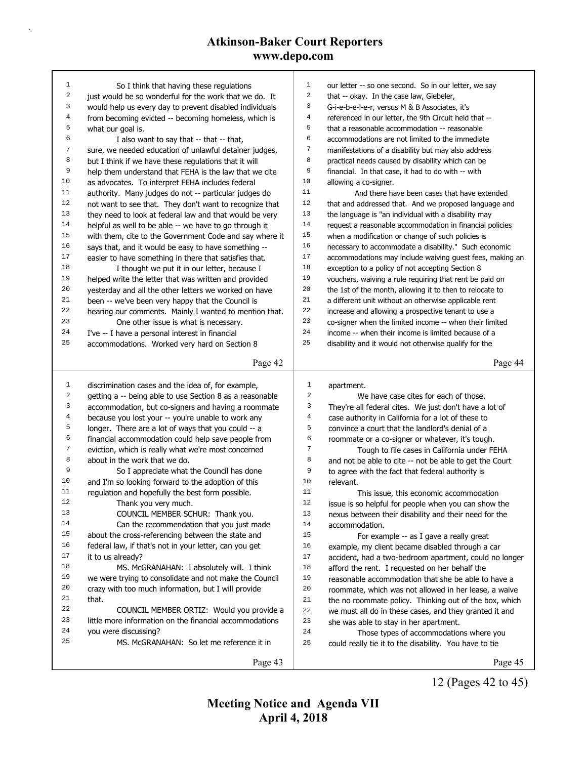| $\mathbf{1}$ | So I think that having these regulations                 | $\mathbf{1}$   | our letter -- so one second. So in our letter, we say    |
|--------------|----------------------------------------------------------|----------------|----------------------------------------------------------|
| $\sqrt{2}$   | just would be so wonderful for the work that we do. It   | 2              | that -- okay. In the case law, Giebeler,                 |
| 3            | would help us every day to prevent disabled individuals  | 3              | G-i-e-b-e-l-e-r, versus M & B Associates, it's           |
| $\,4$        | from becoming evicted -- becoming homeless, which is     | $\overline{4}$ | referenced in our letter, the 9th Circuit held that --   |
| 5            | what our goal is.                                        | 5              | that a reasonable accommodation -- reasonable            |
| 6            | I also want to say that -- that -- that,                 | 6              | accommodations are not limited to the immediate          |
| 7            | sure, we needed education of unlawful detainer judges,   | 7              | manifestations of a disability but may also address      |
| 8            | but I think if we have these regulations that it will    | 8              | practical needs caused by disability which can be        |
| 9            | help them understand that FEHA is the law that we cite   | 9              | financial. In that case, it had to do with -- with       |
| 10           | as advocates. To interpret FEHA includes federal         | 10             | allowing a co-signer.                                    |
| 11           | authority. Many judges do not -- particular judges do    | 11             | And there have been cases that have extended             |
| 12           | not want to see that. They don't want to recognize that  | $12$           | that and addressed that. And we proposed language and    |
| 13           | they need to look at federal law and that would be very  | 13             | the language is "an individual with a disability may     |
| 14           | helpful as well to be able -- we have to go through it   | $14\,$         | request a reasonable accommodation in financial policies |
| 15           | with them, cite to the Government Code and say where it  | $15\,$         | when a modification or change of such policies is        |
| 16           | says that, and it would be easy to have something --     | 16             | necessary to accommodate a disability." Such economic    |
| $17\,$       | easier to have something in there that satisfies that.   | $17\,$         | accommodations may include waiving guest fees, making an |
| 18           | I thought we put it in our letter, because I             | 18             | exception to a policy of not accepting Section 8         |
| 19           | helped write the letter that was written and provided    | 19             | vouchers, waiving a rule requiring that rent be paid on  |
| 20           | yesterday and all the other letters we worked on have    | 20             | the 1st of the month, allowing it to then to relocate to |
| 21           | been -- we've been very happy that the Council is        | 21             | a different unit without an otherwise applicable rent    |
| 22           | hearing our comments. Mainly I wanted to mention that.   | 22             | increase and allowing a prospective tenant to use a      |
| 23           | One other issue is what is necessary.                    | 23             | co-signer when the limited income -- when their limited  |
| 24           | I've -- I have a personal interest in financial          | 24             | income -- when their income is limited because of a      |
| 25           | accommodations. Worked very hard on Section 8            | 25             | disability and it would not otherwise qualify for the    |
|              |                                                          |                |                                                          |
|              | Page 42                                                  |                | Page 44                                                  |
|              |                                                          |                |                                                          |
|              |                                                          |                |                                                          |
| $\mathbf{1}$ | discrimination cases and the idea of, for example,       | $\mathbf 1$    | apartment.                                               |
| 2            | getting a -- being able to use Section 8 as a reasonable | 2              | We have case cites for each of those.                    |
| 3            | accommodation, but co-signers and having a roommate      | 3              | They're all federal cites. We just don't have a lot of   |
| 4            | because you lost your -- you're unable to work any       | 4              | case authority in California for a lot of these to       |
| 5            | longer. There are a lot of ways that you could -- a      | 5              | convince a court that the landlord's denial of a         |
| 6            | financial accommodation could help save people from      | 6              | roommate or a co-signer or whatever, it's tough.         |
| 7            | eviction, which is really what we're most concerned      | 7              | Tough to file cases in California under FEHA             |
| 8            | about in the work that we do.                            | 8              | and not be able to cite -- not be able to get the Court  |
| 9            | So I appreciate what the Council has done                | 9              | to agree with the fact that federal authority is         |
| 10           | and I'm so looking forward to the adoption of this       | 10             | relevant.                                                |
| 11           | regulation and hopefully the best form possible.         | 11             | This issue, this economic accommodation                  |
| 12           | Thank you very much.                                     | 12             | issue is so helpful for people when you can show the     |
| 13           | COUNCIL MEMBER SCHUR: Thank you.                         | 13             | nexus between their disability and their need for the    |
| 14           | Can the recommendation that you just made                | 14             | accommodation.                                           |
| 15           | about the cross-referencing between the state and        | 15             | For example -- as I gave a really great                  |
| 16           | federal law, if that's not in your letter, can you get   | 16             | example, my client became disabled through a car         |
| 17           | it to us already?                                        | 17             | accident, had a two-bedroom apartment, could no longer   |
| 18           | MS. McGRANAHAN: I absolutely will. I think               | 18             | afford the rent. I requested on her behalf the           |
| 19           | we were trying to consolidate and not make the Council   | 19             | reasonable accommodation that she be able to have a      |
| 20           | crazy with too much information, but I will provide      | 20             | roommate, which was not allowed in her lease, a waive    |
| 21           | that.                                                    | 21             | the no roommate policy. Thinking out of the box, which   |
| 22           | COUNCIL MEMBER ORTIZ: Would you provide a                | $2\sqrt{2}$    |                                                          |
| 23           | little more information on the financial accommodations  | 23             | we must all do in these cases, and they granted it and   |
| 24           | you were discussing?                                     | 24             | she was able to stay in her apartment.                   |
| 25           | MS. McGRANAHAN: So let me reference it in                | 25             | Those types of accommodations where you                  |
|              | Page 43                                                  |                | could really tie it to the disability. You have to tie   |

12 (Pages 42 to 45)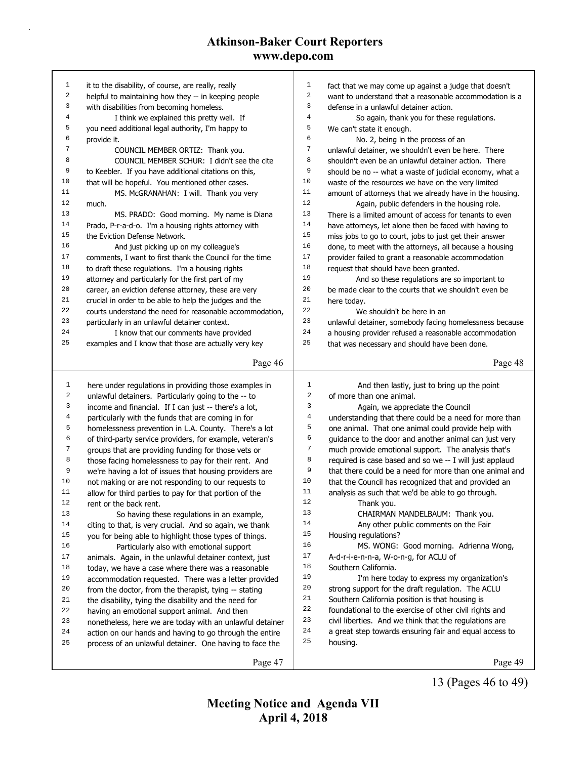| 1            | it to the disability, of course, are really, really      | 1              | fact that we may come up against a judge that doesn't         |
|--------------|----------------------------------------------------------|----------------|---------------------------------------------------------------|
| $\sqrt{2}$   | helpful to maintaining how they -- in keeping people     | $\overline{2}$ | want to understand that a reasonable accommodation is a       |
| 3            | with disabilities from becoming homeless.                | $\overline{3}$ | defense in a unlawful detainer action.                        |
| 4            | I think we explained this pretty well. If                | $\overline{4}$ | So again, thank you for these regulations.                    |
| 5            | you need additional legal authority, I'm happy to        | 5              | We can't state it enough.                                     |
| 6            | provide it.                                              | 6              | No. 2, being in the process of an                             |
| 7            | COUNCIL MEMBER ORTIZ: Thank you.                         | $\sqrt{ }$     | unlawful detainer, we shouldn't even be here. There           |
| 8            | COUNCIL MEMBER SCHUR: I didn't see the cite              | 8              | shouldn't even be an unlawful detainer action. There          |
| 9            | to Keebler. If you have additional citations on this,    | 9              | should be no -- what a waste of judicial economy, what a      |
| 10           | that will be hopeful. You mentioned other cases.         | 10             | waste of the resources we have on the very limited            |
| 11           | MS. McGRANAHAN: I will. Thank you very                   | 11             | amount of attorneys that we already have in the housing.      |
| 12           | much.                                                    | 12             | Again, public defenders in the housing role.                  |
| 13           | MS. PRADO: Good morning. My name is Diana                | 13             | There is a limited amount of access for tenants to even       |
| 14           | Prado, P-r-a-d-o. I'm a housing rights attorney with     | 14             | have attorneys, let alone then be faced with having to        |
| 15           | the Eviction Defense Network.                            | 15             | miss jobs to go to court, jobs to just get their answer       |
| 16           | And just picking up on my colleague's                    | 16             | done, to meet with the attorneys, all because a housing       |
| 17           | comments, I want to first thank the Council for the time | 17             | provider failed to grant a reasonable accommodation           |
| 18           | to draft these regulations. I'm a housing rights         | 18             | request that should have been granted.                        |
| 19           | attorney and particularly for the first part of my       | 19             | And so these regulations are so important to                  |
| 20           | career, an eviction defense attorney, these are very     | 20             | be made clear to the courts that we shouldn't even be         |
| 21           |                                                          | 21             |                                                               |
| 22           | crucial in order to be able to help the judges and the   | 22             | here today.                                                   |
| 23           | courts understand the need for reasonable accommodation, | 23             | We shouldn't be here in an                                    |
| 24           | particularly in an unlawful detainer context.            | 24             | unlawful detainer, somebody facing homelessness because       |
| 25           | I know that our comments have provided                   | 25             | a housing provider refused a reasonable accommodation         |
|              | examples and I know that those are actually very key     |                | that was necessary and should have been done.                 |
|              | Page 46                                                  |                | Page 48                                                       |
|              |                                                          |                |                                                               |
|              |                                                          |                |                                                               |
| $\mathbf{1}$ | here under regulations in providing those examples in    | $\mathbf{1}$   | And then lastly, just to bring up the point                   |
| 2            | unlawful detainers. Particularly going to the -- to      | 2              | of more than one animal.                                      |
| 3            | income and financial. If I can just -- there's a lot,    | 3              | Again, we appreciate the Council                              |
| 4            | particularly with the funds that are coming in for       | 4              | understanding that there could be a need for more than        |
| 5            | homelessness prevention in L.A. County. There's a lot    | 5              | one animal. That one animal could provide help with           |
| 6            | of third-party service providers, for example, veteran's | 6              | guidance to the door and another animal can just very         |
| 7            | groups that are providing funding for those vets or      | 7              | much provide emotional support. The analysis that's           |
| 8            | those facing homelessness to pay for their rent. And     | 8              | required is case based and so we -- I will just applaud       |
| 9            | we're having a lot of issues that housing providers are  | 9              | that there could be a need for more than one animal and       |
| 10           | not making or are not responding to our requests to      | 10             | that the Council has recognized that and provided an          |
| 11           | allow for third parties to pay for that portion of the   | 11             | analysis as such that we'd be able to go through.             |
| 12           | rent or the back rent.                                   | 12             | Thank you.                                                    |
| 13           | So having these regulations in an example,               | 13             | CHAIRMAN MANDELBAUM: Thank you.                               |
| 14           |                                                          | 14             |                                                               |
| 15           | citing to that, is very crucial. And so again, we thank  | 15             | Any other public comments on the Fair<br>Housing regulations? |
| 16           | you for being able to highlight those types of things.   | 16             |                                                               |
| 17           | Particularly also with emotional support                 | 17             | MS. WONG: Good morning. Adrienna Wong,                        |
| 18           | animals. Again, in the unlawful detainer context, just   | 18             | A-d-r-i-e-n-n-a, W-o-n-g, for ACLU of<br>Southern California. |
| 19           | today, we have a case where there was a reasonable       | 19             |                                                               |
| 20           | accommodation requested. There was a letter provided     | 20             | I'm here today to express my organization's                   |
|              | from the doctor, from the therapist, tying -- stating    | 21             | strong support for the draft regulation. The ACLU             |
| 21           | the disability, tying the disability and the need for    |                | Southern California position is that housing is               |
| 22           | having an emotional support animal. And then             | 22             | foundational to the exercise of other civil rights and        |
| 23           | nonetheless, here we are today with an unlawful detainer | 23             | civil liberties. And we think that the regulations are        |
| 24           | action on our hands and having to go through the entire  | 24             | a great step towards ensuring fair and equal access to        |
| 25           | process of an unlawful detainer. One having to face the  | 25             | housing.                                                      |

13 (Pages 46 to 49)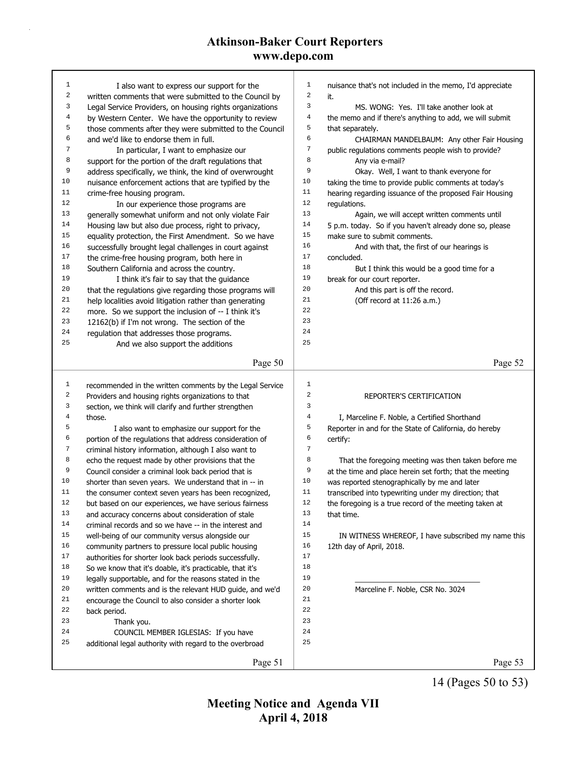| $\mathbf 1$      | I also want to express our support for the               | $\mathbf{1}$     | nuisance that's not included in the memo, I'd appreciate |
|------------------|----------------------------------------------------------|------------------|----------------------------------------------------------|
| 2                | written comments that were submitted to the Council by   | $\sqrt{2}$       | it.                                                      |
| 3                | Legal Service Providers, on housing rights organizations | 3                | MS. WONG: Yes. I'll take another look at                 |
| 4                | by Western Center. We have the opportunity to review     | 4                | the memo and if there's anything to add, we will submit  |
| 5                | those comments after they were submitted to the Council  | 5                | that separately.                                         |
| 6                | and we'd like to endorse them in full.                   | 6                | CHAIRMAN MANDELBAUM: Any other Fair Housing              |
| 7                | In particular, I want to emphasize our                   | $\boldsymbol{7}$ | public regulations comments people wish to provide?      |
| 8                | support for the portion of the draft regulations that    | 8                | Any via e-mail?                                          |
| 9                | address specifically, we think, the kind of overwrought  | 9                | Okay. Well, I want to thank everyone for                 |
| 10               | nuisance enforcement actions that are typified by the    | 10               | taking the time to provide public comments at today's    |
| 11               | crime-free housing program.                              | 11               | hearing regarding issuance of the proposed Fair Housing  |
| 12               | In our experience those programs are                     | 12               | requlations.                                             |
| 13               | generally somewhat uniform and not only violate Fair     | 13               | Again, we will accept written comments until             |
| 14               | Housing law but also due process, right to privacy,      | 14               | 5 p.m. today. So if you haven't already done so, please  |
| 15               | equality protection, the First Amendment. So we have     | 15               | make sure to submit comments.                            |
| 16               | successfully brought legal challenges in court against   | 16               | And with that, the first of our hearings is              |
| 17               | the crime-free housing program, both here in             | 17               | concluded.                                               |
| 18               | Southern California and across the country.              | 18               | But I think this would be a good time for a              |
| 19               | I think it's fair to say that the guidance               | 19               | break for our court reporter.                            |
| 20               | that the regulations give regarding those programs will  | 20               | And this part is off the record.                         |
| 21               | help localities avoid litigation rather than generating  | 21               | (Off record at 11:26 a.m.)                               |
| 22               | more. So we support the inclusion of -- I think it's     | 22               |                                                          |
| 23               | 12162(b) if I'm not wrong. The section of the            | 23               |                                                          |
| 24               | regulation that addresses those programs.                | 24               |                                                          |
| 25               | And we also support the additions                        | 25               |                                                          |
|                  | Page 50                                                  |                  | Page 52                                                  |
|                  |                                                          |                  |                                                          |
| $\mathbf{1}$     | recommended in the written comments by the Legal Service | $\mathbf 1$      |                                                          |
| 2                | Providers and housing rights organizations to that       | $\sqrt{2}$       | REPORTER'S CERTIFICATION                                 |
| 3                | section, we think will clarify and further strengthen    | 3                |                                                          |
| $\overline{4}$   | those.                                                   | 4                | I, Marceline F. Noble, a Certified Shorthand             |
| 5                | I also want to emphasize our support for the             | 5                | Reporter in and for the State of California, do hereby   |
| 6                | portion of the regulations that address consideration of | 6                | certify:                                                 |
| $\boldsymbol{7}$ | criminal history information, although I also want to    | $\sqrt{ }$       |                                                          |
| 8                | echo the request made by other provisions that the       | 8                | That the foregoing meeting was then taken before me      |
| $\,9$            | Council consider a criminal look back period that is     | 9                | at the time and place herein set forth; that the meeting |
| 10               | shorter than seven years. We understand that in -- in    | 10               | was reported stenographically by me and later            |
| 11               | the consumer context seven years has been recognized,    | 11               | transcribed into typewriting under my direction; that    |
| 12               | but based on our experiences, we have serious fairness   | 12               | the foregoing is a true record of the meeting taken at   |
| 13               | and accuracy concerns about consideration of stale       | 13               | that time.                                               |
| 14               | criminal records and so we have -- in the interest and   | 14               |                                                          |
| 15               | well-being of our community versus alongside our         | 15               | IN WITNESS WHEREOF, I have subscribed my name this       |
| 16               | community partners to pressure local public housing      | 16               | 12th day of April, 2018.                                 |
| 17               |                                                          |                  |                                                          |
| $1\,8$           | authorities for shorter look back periods successfully.  | 17               |                                                          |
|                  | So we know that it's doable, it's practicable, that it's | 18               |                                                          |
| 19               | legally supportable, and for the reasons stated in the   | 19               |                                                          |
| 20               | written comments and is the relevant HUD guide, and we'd | 20               | Marceline F. Noble, CSR No. 3024                         |
| 21               | encourage the Council to also consider a shorter look    | 21               |                                                          |
| 22               | back period.                                             | 22               |                                                          |
| 23               | Thank you.                                               | 23               |                                                          |
| 24               | COUNCIL MEMBER IGLESIAS: If you have                     | 24               |                                                          |
| 25               | additional legal authority with regard to the overbroad  | 25               |                                                          |

14 (Pages 50 to 53)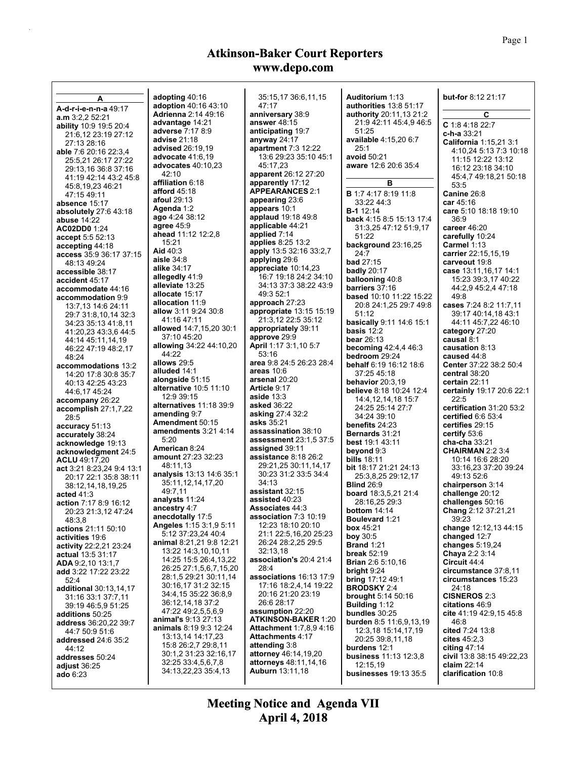|                                                        |                                        |                                | <b>Auditorium 1:13</b>                   | <b>but-for</b> 8:12 21:17           |
|--------------------------------------------------------|----------------------------------------|--------------------------------|------------------------------------------|-------------------------------------|
| Α                                                      | adopting 40:16<br>adoption 40:16 43:10 | 35:15,17 36:6,11,15<br>47:17   | authorities 13:8 51:17                   |                                     |
| A-d-r-i-e-n-n-a 49:17                                  | <b>Adrienna 2:14 49:16</b>             | anniversary 38:9               | <b>authority</b> 20:11,13 21:2           | C                                   |
| a.m.32,2.52.21                                         | advantage 14:21                        | answer $48:15$                 | 21:9 42:11 45:4,9 46:5                   |                                     |
| <b>ability</b> 10:9 19:5 20:4                          | <b>adverse</b> 7:17 8:9                | anticipating 19:7              | 51:25                                    | $C$ 1:8 4:18 22:7                   |
| 21:6,12 23:19 27:12                                    | <b>advise 21:18</b>                    | anyway 24:17                   | available 4:15,20 6:7                    | c-h-a 33:21                         |
| 27:13 28:16                                            | <b>advised</b> 26:19,19                | <b>apartment 7:3 12:22</b>     | 25:1                                     | California 1:15,21 3:1              |
| able 7:6 20:16 22:3.4                                  | advocate 41:6,19                       | 13:6 29:23 35:10 45:1          | avoid 50:21                              | 4:10,24 5:13 7:3 10:18              |
| 25:5,21 26:17 27:22                                    | <b>advocates</b> 40:10,23              | 45:17.23                       | aware 12:6 20:6 35:4                     | 11:15 12:22 13:12                   |
| 29:13,16 36:8 37:16                                    | 42:10                                  | apparent 26:12 27:20           |                                          | 16:12 23:18 34:10                   |
| 41:19 42:14 43:2 45:8                                  | affiliation 6:18                       | apparently 17:12               | в                                        | 45:4,7 49:18,21 50:18<br>53:5       |
| 45:8,19,23 46:21                                       | <b>afford</b> 45:18                    | <b>APPEARANCES 2:1</b>         | <b>B</b> 1:7 4:17 8:19 11:8              |                                     |
| 47:15 49:11                                            | <b>afoul 29:13</b>                     | appearing 23:6                 | 33:22 44:3                               | Canine 26:8<br>car 45:16            |
| absence 15:17                                          | Agenda 1:2                             | appears 10:1                   | <b>B-1</b> 12:14                         | care 5:10 18:18 19:10               |
| absolutely $27:643:18$                                 | ago 4:24 38:12                         | <b>applaud</b> 19:18 49:8      | back 4:15 8:5 15:13 17:4                 | 36:9                                |
| <b>abuse 14:22</b>                                     | agree $45:9$                           | applicable 44:21               | 31:3.25 47:12 51:9.17                    | career 46:20                        |
| AC02DD0 1:24                                           | ahead 11:12 12:2,8                     | applied 7:14                   | 51:22                                    | carefully 10:24                     |
| accept 5:5 52:13                                       | 15:21                                  | <b>applies 8:25 13:2</b>       | background $23:16,25$                    | Carmel 1:13                         |
| accepting 44:18                                        | Aid 40:3                               | apply 13:5 32:16 33:2,7        | 24:7                                     | carrier 22:15,15,19                 |
| access 35:9 36:17 37:15<br>48:13 49:24                 | aisle $34.8$                           | applying 29:6                  | <b>bad</b> 27:15                         | carveout 19:8                       |
| accessible 38:17                                       | <b>alike</b> 34:17                     | appreciate 10:14,23            | badly $20:17$                            | case 13:11,16,17 14:1               |
| accident 45:17                                         | allegedly 41:9                         | 16:7 19:18 24:2 34:10          | <b>ballooning 40:8</b>                   | 15:23 39:3,17 40:22                 |
|                                                        | alleviate 13:25                        | 34:13 37:3 38:22 43:9          | barriers 37:16                           | 44:2,9 45:2,4 47:18                 |
| accommodate 44:16<br>accommodation 9:9                 | allocate 15:17                         | 49:3 52:1                      | <b>based</b> 10:10 11:22 15:22           | 49:8                                |
| 13:7.13 14:6 24:11                                     | allocation 11:9                        | approach 27:23                 | 20:8 24:1,25 29:7 49:8                   | cases 7:24 8:2 11:7,11              |
|                                                        | <b>allow</b> 3:11 9:24 30:8            | appropriate 13:15 15:19        | 51:12                                    | 39:17 40:14,18 43:1                 |
| 29:7 31:8,10,14 32:3                                   | 41:16 47:11                            | 21:3,12 22:5 35:12             | basically 9:11 14:6 15:1                 | 44:11 45:7,22 46:10                 |
| 34:23 35:13 41:8,11                                    | allowed 14:7,15,20 30:1                | appropriately 39:11            | basis $12:2$                             | category 27:20                      |
| 41:20,23 43:3,6 44:5                                   | 37:10 45:20                            | approve 29:9                   | bear 26:13                               | causal 8:1                          |
| 44:14 45:11.14.19                                      | <b>allowing</b> 34:22 44:10,20         | <b>April</b> 1:17 3:1,10 5:7   | becoming 42:4,4 46:3                     | causation 8:13                      |
| 46:22 47:19 48:2,17<br>48:24                           | 44:22                                  | 53:16                          | bedroom 29:24                            | caused 44:8                         |
|                                                        | allows 29:5                            | area 9:8 24:5 26:23 28:4       | <b>behalf</b> 6.19 16:12 18:6            | <b>Center 37:22 38:2 50:4</b>       |
| accommodations 13:2                                    | alluded 14:1                           | areas $10:6$                   | 37:25 45:18                              | central 38:20                       |
| 14:20 17:8 30:8 35:7                                   | alongside 51:15                        | arsenal 20:20                  | behavior $20:3.19$                       | certain 22:11                       |
| 40:13 42:25 43:23                                      | <b>alternative 10:5 11:10</b>          | Article 9:17                   | <b>believe</b> 8:18 10:24 12:4           | certainly 19:17 20:6 22:1           |
| 44:6,17 45:24                                          | 12:9 39:15                             | aside $13:3$                   | 14:4, 12, 14, 18 15:7                    | 22:5                                |
| accompany 26:22                                        | alternatives 11:18 39:9                | <b>asked</b> 36:22             | 24:25 25:14 27:7                         | certification 31:20 53:2            |
| $\alpha$ ccomplish 27:1,7,22                           | amending 9:7                           | <b>asking 27:4 32:2</b>        | 34:24 39:10                              | certified $6.653.4$                 |
| 28:5                                                   | Amendment 50:15                        | <b>asks</b> 35:21              | benefits 24:23                           | certifies 29:15                     |
| accuracy 51:13                                         | amendments $3:21$ 4:14                 | assassination 38:10            | <b>Bernards</b> 31:21                    | certify 53:6                        |
| accurately 38:24                                       | 5:20                                   | <b>assessment</b> 23:1,5 37:5  | <b>best</b> 19:1 43:11                   | <b>cha-cha</b> 33:21                |
| acknowledge 19:13                                      | American 8:24                          | assigned 39:11                 | beyond 9:3                               | <b>CHAIRMAN</b> 2.2 3.4             |
| acknowledgment 24:5                                    | <b>amount</b> 27:23 32:23              | assistance 8:18 26:2           | <b>bills 18:11</b>                       | 10:14 16:6 28:20                    |
| <b>ACLU</b> 49:17,20                                   | 48:11,13                               | 29:21,25 30:11,14,17           | <b>bit</b> 18:17 21:21 24:13             | 33:16,23 37:20 39:24                |
| act 3:21 8:23,24 9:4 13:1                              | analysis 13:13 14:6 35:1               | 30:23 31:2 33:5 34:4           | 25:3,8,25 29:12,17                       | 49:13 52 6                          |
| 20:17 22:1 35:8 38:11                                  | 35:11,12,14,17,20                      | 34:13                          | <b>Blind 26:9</b>                        | chairperson 3:14                    |
| 38:12,14,18,19,25                                      | 49:7,11                                | assistant 32:15                | board 18:3,5,21 21:4                     | challenge $20:12$                   |
| acted 41:3                                             | analysts 11:24                         | assisted 40:23                 | 28:16,25 29:3                            | challenges 50:16                    |
| action 7:17 8:9 16:12                                  | ancestry 4:7                           | <b>Associates 44:3</b>         | bottom $14:14$                           | Chang 2:12 37:21,21                 |
| 20:23 21:3,12 47:24                                    | anecdotally 17:5                       | association 7:3 10:19          | Boulevard 1:21                           | 39:23                               |
| 48:3,8                                                 | <b>Angeles 1:15 3:1,9 5:11</b>         | 12:23 18:10 20:10              | box $45:21$                              | change 12:12,13 44:15               |
| actions 21:11 50:10<br>activities 19:6                 | 5:12 37:23,24 40:4                     | 21:1 22:5,16,20 25:23          | boy 30:5                                 | changed $12:7$                      |
|                                                        | <b>animal 8:21,21 9:8 12:21</b>        | 26:24 28:2,25 29:5             | <b>Brand 1:21</b>                        | changes $5:19,24$                   |
| activity 22:2,21 23:24                                 | 13:22 14:3,10,10,11                    | 32:13,18                       | break $52:19$                            | Chaya 2:2 3:14                      |
| <b>actual 13:5 31:17</b><br><b>ADA</b> 9.2, 10 13:1, 7 | 14:25 15:5 26:4,13,22                  | association's 20:4 21:4        | <b>Brian</b> 2.6 5:10,16                 | Circuit 44:4                        |
| add 3:22 17:22 23:22                                   | 26:25 27:1,5,6,7,15,20                 | 28:4                           | bright $9.24$                            | circumstance 37:8,11                |
| 52:4                                                   | 28:1.5 29:21 30:11.14                  | associations 16:13 17:9        | <b>bring</b> 17:12 49:1                  | circumstances 15:23                 |
| <b>additional</b> 30:13,14,17                          | 30:16,17 31:2 32:15                    | 17:16 18:2,4,14 19:22          | <b>BRODSKY 2:4</b>                       | 24:18                               |
|                                                        | 34:4,15 35:22 36:8,9                   | 20:16 21:20 23:19              | <b>brought</b> $5:14,50:16$              | <b>CISNEROS 2:3</b>                 |
| 31:16 33:1 37:7,11                                     | 36:12,14,18 37:2                       | 26:6 28:17                     | <b>Building 1:12</b>                     | citations 46:9                      |
| 39:19 46:5,9 51:25<br>additions 50:25                  | 47:22 49:2,5,5,6,9                     | assumption 22:20               | bundles 30:25                            | cite 41:19 42:9.15 45:8             |
|                                                        | animal's 9:13 27:13                    | <b>ATKINSON-BAKER 1:20</b>     | burden 8:5 11:6,9,13,19                  | 46:8                                |
| <b>address</b> 36:20,22 39:7                           | animals 8:19 9:3 12:24                 | <b>Attachment 1:7.8.9 4:16</b> | 12:3,18 15:14,17,19                      | cited 7:24 13:8                     |
| 44:7 50:9 51:6                                         | 13:13,14 14:17,23                      | <b>Attachments 4:17</b>        | 20:25 39:8,11,18                         | cites $45:2.3$                      |
| <b>addressed</b> 24:6 35:2<br>44:12                    | 15:8 26:2,7 29:8,11                    | attending 3:8                  | burdens 12:1                             | citing $47:14$                      |
|                                                        | 30:1,2 31:23 32:16,17                  | attorney 46:14,19,20           | business 11:13 12:3,8                    | civil 13:8 38:15 49:22,23           |
| addresses 50:24                                        | 32:25 33:4,5,6,7,8                     | <b>attorneys</b> 48:11,14,16   |                                          |                                     |
| adjust $36:25$                                         |                                        |                                |                                          |                                     |
| ado 6:23                                               | 34:13,22,23 35:4,13                    | <b>Auburn</b> 13:11,18         | 12:15,19<br><b>businesses</b> 19:13 35:5 | claim $22:14$<br>clarification 10:8 |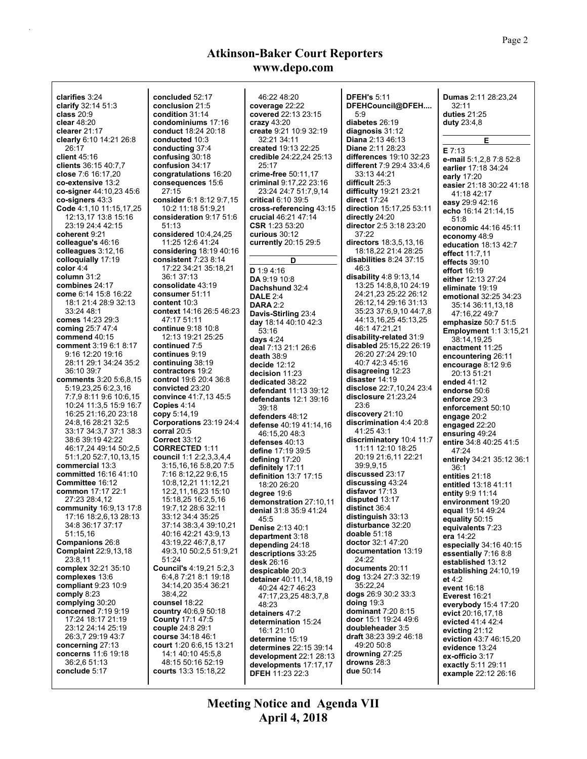**clarifies** 3:24 **clarify** 32:14 51:3 **class** 20:9 **clear** 48:20 **clearer** 21:17 **clearly** 6:10 14:21 26:8 26:17 **client** 45:16 **clients** 36:15 40:7,7 **close** 7:6 16:17,20 **co-extensive** 13:2 **co-signer** 44:10,23 45:6 **co-signers** 43:3 **Code** 4:1,10 11:15,17,25 12:13,17 13:8 15:16 23:19 24:4 42:15 **coherent** 9:21 **colleague's** 46:16 **colleagues** 3:12,16 **colloquially** 17:19 **color** 4:4 **column** 31:2 **combines** 24:17 **come** 6:14 15:8 16:22 18:1 21:4 28:9 32:13 33:24 48:1 **comes** 14:23 29:3 **coming** 25:7 47:4 **commend** 40:15 **comment** 3:19 6:1 8:17 9:16 12:20 19:16 28:11 29:1 34:24 35:2 36:10 39:7 **comments** 3:20 5:6,8,15 5:19,23,25 6:2,3,16 7:7,9 8:11 9:6 10:6,15 10:24 11:3,5 15:9 16:7 16:25 21:16,20 23:18 24:8,16 28:21 32:5 33:17 34:3,7 37:1 38:3 38:6 39:19 42:22 46:17,24 49:14 50:2,5 51:1,20 52:7,10,13,15 **commercial** 13:3 **committed** 16:16 41:10 **Committee** 16:12 **common** 17:17 22:1 27:23 28:4,12 **community** 16:9,13 17:8 17:16 18:2,6,13 28:13 34:8 36:17 37:17 51:15,16 **Companions** 26:8 **Complaint** 22:9,13,18 23:8,11 **complex** 32:21 35:10 **complexes** 13:6 **compliant** 9:23 10:9 **comply** 8:23 **complying** 30:20 **concerned** 7:19 9:19 17:24 18:17 21:19 23:12 24:14 25:19 26:3,7 29:19 43:7 **concerning** 27:13 **concerns** 11:6 19:18 36:2,6 51:13 **conclude** 5:17

**concluded** 52:17 **conclusion** 21:5 **condition** 31:14 **condominiums** 17:16 **conduct** 18:24 20:18 **conducted** 10:3 **conducting** 37:4 **confusing** 30:18 **confusion** 34:17 **congratulations** 16:20 **consequences** 15:6 27:15 **consider** 6:1 8:12 9:7,15 10:2 11:18 51:9,21 **consideration** 9:17 51:6 51:13 **considered** 10:4,24,25 11:25 12:6 41:24 **considering** 18:19 40:16 **consistent** 7:23 8:14 17:22 34:21 35:18,21 36:1 37:13 **consolidate** 43:19 **consumer** 51:11 **content** 10:3 **context** 14:16 26:5 46:23 47:17 51:11 **continue** 9:18 10:8 12:13 19:21 25:25 **continued** 7:5 **continues** 9:19 **continuing** 38:19 **contractors** 19:2 **control** 19:6 20:4 36:8 **convicted** 23:20 **convince** 41:7,13 45:5 **Copies** 4:14 **copy** 5:14,19 **Corporations** 23:19 24:4 **corral** 20:5 **Correct** 33:12 **CORRECTED** 1:11 **council** 1:1 2:2,3,3,4,4 3:15,16,16 5:8,20 7:5 7:16 8:12,22 9:6,15 10:8,12,21 11:12,21 12:2,11,16,23 15:10 15:18,25 16:2,5,16 19:7,12 28:6 32:11 33:12 34:4 35:25 37:14 38:3,4 39:10,21 40:16 42:21 43:9,13 43:19,22 46:7,8,17 49:3,10 50:2,5 51:9,21 51:24 **Council's** 4:19,21 5:2,3 6:4,8 7:21 8:1 19:18 34:14,20 35:4 36:21 38:4,22 **counsel** 18:22 **country** 40:6,9 50:18 **County** 17:1 47:5 **couple** 24:8 29:1 **course** 34:18 46:1 **court** 1:20 6:6,15 13:21 14:1 40:10 45:5,8 48:15 50:16 52:19 **courts** 13:3 15:18,22

46:22 48:20 **coverage** 22:22 **covered** 22:13 23:15 **crazy** 43:20 **create** 9:21 10:9 32:19 32:21 34:11 **created** 19:13 22:25 **credible** 24:22,24 25:13 25:17 **crime-free** 50:11,17 **criminal** 9:17,22 23:16 23:24 24:7 51:7,9,14 **critical** 6:10 39:5 **cross-referencing** 43:15 **crucial** 46:21 47:14 **CSR** 1:23 53:20 **curious** 30:12 **currently** 20:15 29:5 **D D** 1:9 4:16 **DA** 9:19 10:8 **Dachshund** 32:4 **DALE** 2:4 **DARA** 2:2 **Davis-Stirling** 23:4 **day** 18:14 40:10 42:3 53:16 **days** 4:24 **deal** 7:13 21:1 26:6 **death** 38:9 **decide** 12:12 **decision** 11:23 **dedicated** 38:22 **defendant** 11:13 39:12 **defendants** 12:1 39:16 39:18 **defenders** 48:12 **defense** 40:19 41:14,16 46:15,20 48:3 **defenses** 40:13 **define** 17:19 39:5 **defining** 17:20 **definitely** 17:11 **definition** 13:7 17:15 18:20 26:20 **degree** 19:6 **demonstration** 27:10,11 **denial** 31:8 35:9 41:24 45:5 **Denise** 2:13 40:1 **department** 3:18 **depending** 24:18 **descriptions** 33:25 **desk** 26:16 **despicable** 20:3 **detainer** 40:11,14,18,19 40:24 42:7 46:23 47:17,23,25 48:3,7,8 48:23 **detainers** 47:2 **determination** 15:24 16:1 21:10 **determine** 15:19 **determines** 22:15 39:14 **development** 22:1 28:13 **developments** 17:17,17 **DFEH** 11:23 22:3

**DFEH's** 5:11 **DFEHCouncil@DFEH....** 5:9 **diabetes** 26:19 **diagnosis** 31:12 **Diana** 2:13 46:13 **Diane** 2:11 28:23 **differences** 19:10 32:23 **different** 7:9 29:4 33:4,6 33:13 44:21 **difficult** 25:3 **difficulty** 19:21 23:21 **direct** 17:24 **direction** 15:17,25 53:11 **directly** 24:20 **director** 2:5 3:18 23:20 37:22 **directors** 18:3,5,13,16 18:18,22 21:4 28:25 **disabilities** 8:24 37:15 46:3 **disability** 4:8 9:13,14 13:25 14:8,8,10 24:19 24:21,23 25:22 26:12 26:12,14 29:16 31:13 35:23 37:6,9,10 44:7,8 44:13,16,25 45:13,25 46:1 47:21,21 **disability-related** 31:9 **disabled** 25:15,22 26:19 26:20 27:24 29:10 40:7 42:3 45:16 **disagreeing** 12:23 **disaster** 14:19 **disclose** 22:7,10,24 23:4 **disclosure** 21:23,24 23:6 **discovery** 21:10 **discrimination** 4:4 20:8 41:25 43:1 **discriminatory** 10:4 11:7 11:11 12:10 18:25 20:19 21:6,11 22:21 39:9,9,15 **discussed** 23:17 **discussing** 43:24 **disfavor** 17:13 **disputed** 13:17 **distinct** 36:4 **distinguish** 33:13 **disturbance** 32:20 **doable** 51:18 **doctor** 32:1 47:20 **documentation** 13:19 24:22 **documents** 20:11 **dog** 13:24 27:3 32:19 35:22,24 **dogs** 26:9 30:2 33:3 **doing** 19:3 **dominant** 7:20 8:15 **door** 15:1 19:24 49:6 **doubleheader** 3:5 **draft** 38:23 39:2 46:18 49:20 50:8 **drowning** 27:25 **drowns** 28:3 **due** 50:14

**Dumas** 2:11 28:23,24 32:11 **duties** 21:25 **duty** 23:4,8 **E E** 7:13 **e-mail** 5:1,2,8 7:8 52:8 **earlier** 17:18 34:24 **early** 17:20 **easier** 21:18 30:22 41:18 41:18 42:17 **easy** 29:9 42:16 **echo** 16:14 21:14,15 51:8 **economic** 44:16 45:11 **economy** 48:9 **education** 18:13 42:7 **effect** 11:7,11 **effects** 39:10 **effort** 16:19 **either** 12:13 27:24 **eliminate** 19:19 **emotional** 32:25 34:23 35:14 36:11,13,18 47:16,22 49:7 **emphasize** 50:7 51:5 **Employment** 1:1 3:15,21 38:14,19,25 **enactment** 11:25 **encountering** 26:11 **encourage** 8:12 9:6 20:13 51:21 **ended** 41:12 **endorse** 50:6 **enforce** 29:3 **enforcement** 50:10 **engage** 20:2 **engaged** 22:20 **ensuring** 49:24 **entire** 34:8 40:25 41:5 47:24 **entirely** 34:21 35:12 36:1 36:1 **entities** 21:18 **entitled** 13:18 41:11 **entity** 9:9 11:14 **environment** 19:20 **equal** 19:14 49:24 **equality** 50:15 **equivalents** 7:23 **era** 14:22 **especially** 34:16 40:15 **essentially** 7:16 8:8 **established** 13:12 **establishing** 24:10,19 **et** 4:2 **event** 16:18 **Everest** 16:21 **everybody** 15:4 17:20 **evict** 20:16,17,18 **evicted** 41:4 42:4 **evicting** 21:12 **eviction** 43:7 46:15,20 **evidence** 13:24 **ex-officio** 3:17 **exactly** 5:11 29:11 **example** 22:12 26:16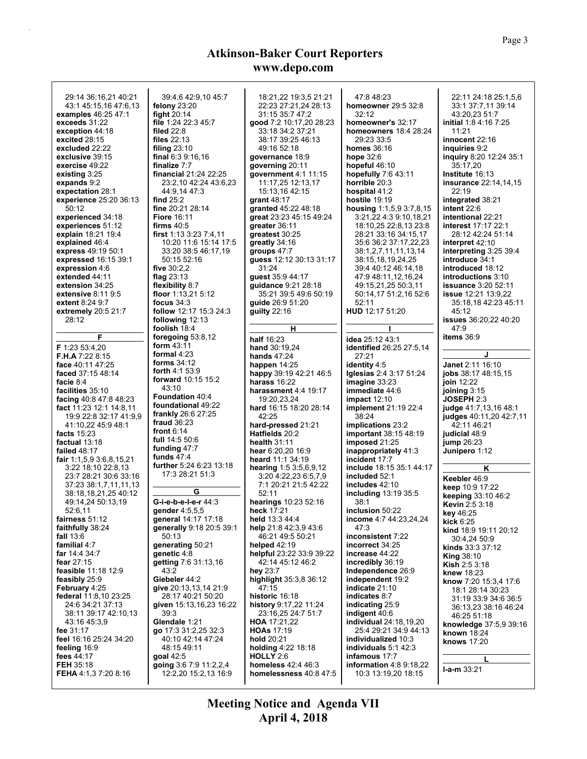| 29:14 36:16.21 40:21<br>43:1 45:15.16 47:6.13<br>examples 46:25 47:1<br>exceeds 31:22<br>exception 44:18<br>excited 28:15<br>excluded 22:22<br>exclusive 39:15<br>exercise 49:22<br>existing $3:25$<br>expands 9:2<br>expectation 28:1<br>experience 25:20 36:13<br>50:12<br>experienced 34:18<br>experiences 51:12<br>explain 18:21 19:4<br>explained 46:4 | 39:4,6 42:9,10 45:7<br>felony $23:20$<br>fight $20:14$<br>file 1:24 22:3 45:7<br>filed $22.8$<br><b>files</b> 22:13<br>filing $23:10$<br>final $6.39:16,16$<br>finalize 7:7<br><b>financial</b> 21:24 22:25<br>23:2,10 42:24 43:6,23<br>44 9.14 47 3<br>find $25:2$<br>fine 20:21 28:14<br><b>Fiore 16:11</b><br>firms $40:5$<br>first 1:13 3:23 7:4,11<br>10:20 11:6 15:14 17:5 | 18:21,22 19:3,5 21:21<br>22:23 27:21,24 28:13<br>31:15 35:7 47:2<br>good 7:2 10:17,20 28:23<br>33:18 34:2 37:21<br>38:17 39:25 46:13<br>49:16 52:18<br>governance 18:9<br>governing 20:11<br>government $4:1$ 11:15<br>11:17,25 12:13,17<br>15:13,16 42:15<br>grant $48:17$<br>granted 45:22 48:18<br>great 23:23 45:15 49:24<br>greater 36:11<br>greatest 30:25<br>greatly 34:16 | 47.848.23<br>homeowner 29:5 32:8<br>32:12<br>homeowner's 32:17<br><b>homeowners</b> 18:4 28:24<br>29:23 33:5<br><b>homes</b> 36:16<br>hope $32:6$<br>hopeful 46:10<br>hopefully $7.643.11$<br>horrible 20:3<br>hospital 41:2<br>hostile $19:19$<br>housing 1:1,5,9 3:7,8,15<br>3:21,22 4:3 9:10,18,21<br>18:10,25 22:8,13 23:8<br>28:21 33:16 34:15,17<br>35:6 36:2 37:17,22,23 | 22:11 24:18 25:1,5,6<br>33:1 37:7,11 39:14<br>43:20.23 51:7<br>initial 1:8 4:16 7:25<br>11:21<br>innocent 22:16<br>inquiries 9:2<br>inquiry 8:20 12:24 35:1<br>35:17,20<br>Institute 16:13<br>insurance 22:14,14,15<br>22:19<br>integrated 38:21<br>intent $22:6$<br><b>intentional 22:21</b><br><b>interest 17:17 22:1</b><br>28:12 42:24 51:14<br>interpret 42:10 |
|-------------------------------------------------------------------------------------------------------------------------------------------------------------------------------------------------------------------------------------------------------------------------------------------------------------------------------------------------------------|----------------------------------------------------------------------------------------------------------------------------------------------------------------------------------------------------------------------------------------------------------------------------------------------------------------------------------------------------------------------------------|-----------------------------------------------------------------------------------------------------------------------------------------------------------------------------------------------------------------------------------------------------------------------------------------------------------------------------------------------------------------------------------|---------------------------------------------------------------------------------------------------------------------------------------------------------------------------------------------------------------------------------------------------------------------------------------------------------------------------------------------------------------------------------|---------------------------------------------------------------------------------------------------------------------------------------------------------------------------------------------------------------------------------------------------------------------------------------------------------------------------------------------------------------------|
| express 49:19 50:1<br>expressed 16:15 39:1<br>expression 4:6<br>extended 44:11<br>extension 34:25<br>extensive $8:119:5$<br>extent 8:24 9:7<br>extremely 20:5 21:7<br>28:12                                                                                                                                                                                 | 33:20 38:5 46:17,19<br>50:15 52:16<br>five 30:2,2<br>flag 23:13<br>flexibility 8:7<br>floor 1:13,21 5:12<br>focus $34:3$<br>follow 12:17 15:3 24:3<br>following 12:13                                                                                                                                                                                                            | groups $47:7$<br>guess 12:12 30:13 31:17<br>31:24<br>guest 35:9 44:17<br>guidance 9:21 28:18<br>35:21 39:5 49:6 50:19<br>guide 26:9 51:20<br>guilty $22:16$                                                                                                                                                                                                                       | 38:1,2,7,11,11,13,14<br>38:15,18,19,24,25<br>39:4 40:12 46:14,18<br>47:9 48:11.12.16.24<br>49:15.21.25 50:3.11<br>50:14,17 51:2,16 52:6<br>52:11<br>HUD 12:17 51:20                                                                                                                                                                                                             | interpreting 3:25 39:4<br>introduce 34:1<br>introduced 18:12<br><b>introductions</b> 3:10<br><b>issuance</b> 3:20 52:11<br>issue 12:21 13:9,22<br>35:18,18 42:23 45:11<br>45:12<br>issues 36:20,22 40:20                                                                                                                                                            |
| F<br>F 1:23 53:4,20<br><b>F.H.A</b> $7:228:15$<br>face 40:11 47:25<br>faced 37:15 48:14<br>facie 8:4                                                                                                                                                                                                                                                        | foolish 18:4<br>foregoing 53:8,12<br>form $43:11$<br>formal $4:23$<br>forms $34:12$<br><b>forth</b> $4:153.9$<br><b>forward</b> 10:15 15:2<br>43:10                                                                                                                                                                                                                              | н<br>half 16:23<br>hand 30:19.24<br><b>hands</b> 47:24<br><b>happen</b> 14:25<br>happy 39:19 42:21 46:5<br>harass $16:22$                                                                                                                                                                                                                                                         | idea 25:12 43:1<br>identified 26:25 27:5,14<br>27:21<br>identity 4:5<br>Iglesias 2:4 3:17 51:24<br>image 33:23                                                                                                                                                                                                                                                                  | 47.9<br>items $36.9$<br>Janet 2:11 16:10<br>jobs 38:17 48:15,15<br>join $12:22$                                                                                                                                                                                                                                                                                     |
| facilities 35:10<br>facing 40:8 47:8 48:23<br>fact 11:23 12:1 14:8,11<br>19:9 22:8 32:17 41:9,9<br>41:10,22 45:9 48:1<br>facts $15:23$<br>factual 13:18<br><b>failed 48:17</b>                                                                                                                                                                              | <b>Foundation 40:4</b><br>foundational 49:22<br><b>frankly</b> 26:6 27:25<br>fraud $36:23$<br>front $6:14$<br>full 14:5 50:6<br>funding 47:7                                                                                                                                                                                                                                     | <b>harassment 4:4 19:17</b><br>19:20,23,24<br>hard 16:15 18:20 28:14<br>42:25<br>hard-pressed 21:21<br>Hatfields 20:2<br>health $31:11$<br>hear 6:20,20 16:9                                                                                                                                                                                                                      | immediate 44:6<br>impact 12:10<br><b>implement</b> 21:19 22:4<br>38:24<br>implications 23:2<br><b>important</b> 38:15 48:19<br>imposed $21:25$<br>inappropriately 41:3                                                                                                                                                                                                          | joining $3:15$<br>JOSEPH 2:3<br>judge 41:7,13,16 48:1<br>judges 40:11,20 42:7,11<br>42:11 46:21<br>judicial 48:9<br>jump $26:23$<br>Junipero 1:12                                                                                                                                                                                                                   |
| <b>fair</b> $1:1,5,9,3:6,8,15,21$<br>3:22 18:10 22:8,13<br>23:7 28:21 30:6 33:16<br>37:23 38:1,7,11,11,13<br>38:18,18,21,25 40:12<br>49:14,24 50:13,19<br>52:6,11                                                                                                                                                                                           | funds $47:4$<br>further 5:24 6:23 13:18<br>17:3 28:21 51:3<br>G<br>G-i-e-b-e-l-e-r 44:3<br>gender 4:5,5,5                                                                                                                                                                                                                                                                        | heard 11:1 34:19<br>hearing 1:5 3:5,6,9,12<br>3:20 4:22,23 6:5,7,9<br>7:1 20:21 21:5 42:22<br>52:11<br>hearings 10:23 52:16<br>heck 17:21<br>held 13:3 44:4                                                                                                                                                                                                                       | incident 17:7<br>include 18:15 35:1 44:17<br>included 52:1<br>includes 42:10<br><b>including 13:19 35:5</b><br>38:1<br>inclusion 50:22<br>income 4:7 44:23,24,24                                                                                                                                                                                                                | Κ<br>Keebler 46:9<br>keep 10:9 17:22<br><b>keeping</b> $33:10,46:2$<br><b>Kevin 2:5 3:18</b><br>key 46:25                                                                                                                                                                                                                                                           |
| fairness 51:12<br>faithfully 38:24<br>fall $13:6$<br>familial 4:7<br>far 14:4 34:7<br>fear 27:15<br>feasible 11:18 12:9<br>feasibly 25:9<br>February 4:25                                                                                                                                                                                                   | general 14:17 17:18<br>generally 9:18 20:5 39:1<br>50:13<br>generating 50:21<br>genetic 4:8<br>getting 7:6 31:13.16<br>43:2<br>Giebeler 44:2<br>give 20:13,13,14 21:9                                                                                                                                                                                                            | help 21:8 42:3,9 43:6<br>46:21 49:5 50:21<br><b>helped 42:19</b><br>helpful 23:22 33:9 39:22<br>42:14 45:12 46:2<br>hey 23:7<br>highlight 35:3,8 36:12<br>47:15                                                                                                                                                                                                                   | 47.3<br>inconsistent 7:22<br>incorrect 34:25<br>increase 44:22<br>incredibly 36:19<br>Independence 26:9<br>independent 19:2<br>indicate 21:10                                                                                                                                                                                                                                   | kick $6:25$<br><b>kind</b> 18:9 19:11 20:12<br>30:4,24 50:9<br><b>kinds</b> 33:3 37:12<br>King $38:10$<br><b>Kish 2:53:18</b><br><b>knew</b> 18:23<br>know 7:20 15:3,4 17:6<br>18:1 28:14 30:23                                                                                                                                                                     |
| federal 11:8,10 23:25<br>24:6 34:21 37:13<br>38:11 39:17 42:10,13<br>43:16 45:3,9<br>fee 31:17<br>feel 16:16 25:24 34:20<br>feeling 16:9<br>fees $44:17$<br><b>FEH 35:18</b><br>FEHA 4:1,3 7:20 8:16                                                                                                                                                        | 28:17 40:21 50:20<br>given 15:13,16,23 16:22<br>39:3<br>Glendale 1:21<br>go 17:3 31:2,25 32:3<br>40:10 42:14 47:24<br>48:15 49:11<br>goal 42:5<br>going 3.6 7:9 11:2,2,4<br>12:2,20 15:2,13 16:9                                                                                                                                                                                 | <b>historic</b> 16:18<br>history 9:17,22 11:24<br>23:16.25 24:7 51:7<br><b>HOA</b> 17:21,22<br><b>HOAs</b> 17:19<br>hold 20:21<br>holding 4:22 18:18<br><b>HOLLY 2:6</b><br><b>homeless</b> 42:4 46:3<br>homelessness 40:8 47:5                                                                                                                                                   | indicates 8:7<br>indicating 25:9<br>indigent 40:6<br><b>individual</b> 24:18,19,20<br>25:4 29:21 34:9 44:13<br>individualized 10:3<br>individuals 5:1 42:3<br>infamous 17:7<br>information 4:8 9:18,22<br>10:3 13:19,20 18:15                                                                                                                                                   | 31:19 33:9 34:6 36:5<br>36:13,23 38:16 46:24<br>46:25 51:18<br>knowledge 37:5,9 39:16<br>known 18:24<br>knows 17:20<br>L<br>$1-a-m$ 33:21                                                                                                                                                                                                                           |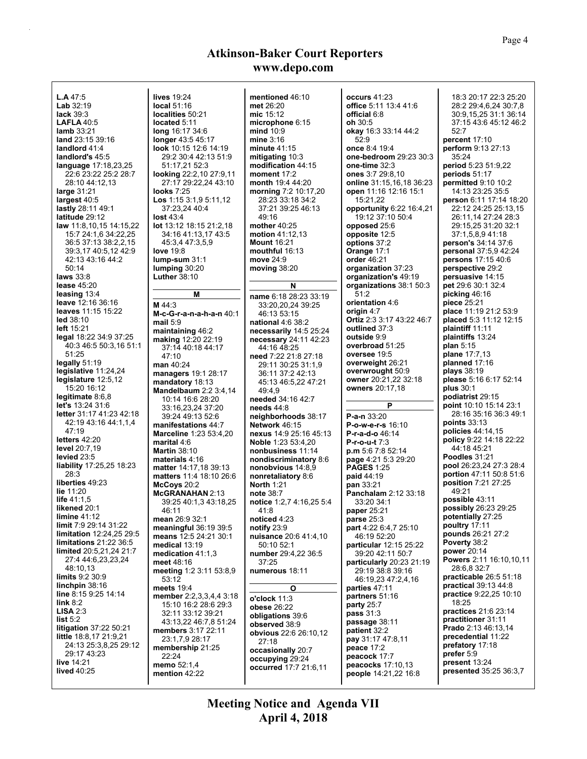| <b>L.A</b> 47:5<br><b>Lab</b> $32:19$<br>lack 39:3<br><b>LAFLA 40:5</b><br>lamb 33:21<br>land 23:15 39:16<br>landlord 41:4<br>landlord's 45:5<br>language 17:18,23,25<br>22:6 23:22 25:2 28:7<br>28:10 44:12,13<br>large 31:21<br>largest 40:5<br>lastly 28:11 49:1<br>latitude 29:12<br>law 11:8,10,15 14:15,22<br>15:7 24:1,6 34:22,25<br>36:5 37:13 38:2,2,15<br>39:3,17 40:5,12 42:9<br>42:13 43:16 44:2<br>50:14<br>laws $33:8$ | lives 19:24<br>local 51:16<br>localities 50:21<br>located 5:11<br>long 16:17 34:6<br>longer 43:5 45:17<br>look 10:15 12:6 14:19<br>29:2 30:4 42:13 51:9<br>51:17,21 52:3<br>looking 22:2,10 27:9,11<br>27:17 29:22,24 43:10<br><b>looks</b> 7:25<br>Los 1:15 3:1,9 5:11,12<br>37:23.24 40:4<br>lost 43:4<br><b>lot</b> 13:12 18:15 21:2,18<br>34:16 41:13,17 43:5<br>45:3,4 47:3,5,9<br><b>love</b> 19:8<br>$lump-sum 31:1$<br>lumping $30:20$<br><b>Luther 38:10</b> | mentioned 46:10<br>met 26:20<br>mic 15:12<br>microphone 6:15<br>mind 10:9<br>mine $3:16$<br>minute 41:15<br>mitigating 10:3<br>modification 44:15<br>moment 17:2<br>month 19:4 44:20<br>morning 7:2 10:17,20<br>28:23 33:18 34:2<br>37:21 39:25 46:13<br>49:16<br>mother $40:25$<br>motion 41:12,13<br><b>Mount 16:21</b><br>mouthful 16:13<br>move 24:9<br>moving $38:20$ | occurs 41:23<br>office 5:11 13:4 41:6<br>official 6:8<br>oh 30:5<br>okay 16:3 33:14 44:2<br>52:9<br>once 8:4 19:4<br>one-bedroom 29:23 30:3<br>one-time 32:3<br>ones 3:7 29:8,10<br>online 31:15,16,18 36:23<br>open 11:16 12:16 15:1<br>15:21,22<br>opportunity 6:22 16:4,21<br>19:12 37:10 50:4<br>opposed 25:6<br>opposite 12:5<br>options 37:2<br>Orange 17:1<br><b>order</b> 46:21<br>organization 37:23<br>organization's 49:19 | 18:3 20:17 22:3 25:20<br>28:2 29:4,6,24 30:7,8<br>30:9,15,25 31:1 36:14<br>37:15 43:6 45:12 46:2<br>52:7<br>percent 17:10<br>perform 9:13 27:13<br>35:24<br>period 5:23 51:9,22<br>periods 51:17<br>permitted 9:10 10:2<br>14:13 23:25 35:5<br>person 6:11 17:14 18:20<br>22:12 24:25 25:13,15<br>26:11.14 27:24 28:3<br>29:15,25 31:20 32:1<br>37:1,5,8,9 41:18<br>person's 34:14 37:6<br><b>personal</b> 37:5,9 42:24<br><b>persons</b> 17:15 40:6<br>perspective 29:2<br>persuasive 14:15 |
|--------------------------------------------------------------------------------------------------------------------------------------------------------------------------------------------------------------------------------------------------------------------------------------------------------------------------------------------------------------------------------------------------------------------------------------|-----------------------------------------------------------------------------------------------------------------------------------------------------------------------------------------------------------------------------------------------------------------------------------------------------------------------------------------------------------------------------------------------------------------------------------------------------------------------|----------------------------------------------------------------------------------------------------------------------------------------------------------------------------------------------------------------------------------------------------------------------------------------------------------------------------------------------------------------------------|---------------------------------------------------------------------------------------------------------------------------------------------------------------------------------------------------------------------------------------------------------------------------------------------------------------------------------------------------------------------------------------------------------------------------------------|----------------------------------------------------------------------------------------------------------------------------------------------------------------------------------------------------------------------------------------------------------------------------------------------------------------------------------------------------------------------------------------------------------------------------------------------------------------------------------------------|
| lease $45:20$                                                                                                                                                                                                                                                                                                                                                                                                                        |                                                                                                                                                                                                                                                                                                                                                                                                                                                                       | N                                                                                                                                                                                                                                                                                                                                                                          | organizations 38:1 50:3                                                                                                                                                                                                                                                                                                                                                                                                               | pet 29:6 30:1 32:4                                                                                                                                                                                                                                                                                                                                                                                                                                                                           |
| leasing $13:4$                                                                                                                                                                                                                                                                                                                                                                                                                       | М                                                                                                                                                                                                                                                                                                                                                                                                                                                                     | name 6:18 28:23 33:19                                                                                                                                                                                                                                                                                                                                                      | 51:2                                                                                                                                                                                                                                                                                                                                                                                                                                  | picking $46:16$                                                                                                                                                                                                                                                                                                                                                                                                                                                                              |
| leave 12:16 36:16                                                                                                                                                                                                                                                                                                                                                                                                                    | M $44.3$                                                                                                                                                                                                                                                                                                                                                                                                                                                              | 33:20,20,24 39:25                                                                                                                                                                                                                                                                                                                                                          | orientation 4:6                                                                                                                                                                                                                                                                                                                                                                                                                       | piece 25:21                                                                                                                                                                                                                                                                                                                                                                                                                                                                                  |
| leaves 11:15 15:22                                                                                                                                                                                                                                                                                                                                                                                                                   | M-c-G-r-a-n-a-h-a-n 40:1                                                                                                                                                                                                                                                                                                                                                                                                                                              | 46:13 53:15                                                                                                                                                                                                                                                                                                                                                                | origin 4:7                                                                                                                                                                                                                                                                                                                                                                                                                            | place 11:19 21:2 53:9                                                                                                                                                                                                                                                                                                                                                                                                                                                                        |
| led 38:10                                                                                                                                                                                                                                                                                                                                                                                                                            | mail $5:9$                                                                                                                                                                                                                                                                                                                                                                                                                                                            | <b>national 4:6 38:2</b>                                                                                                                                                                                                                                                                                                                                                   | Ortiz 2:3 3:17 43:22 46:7                                                                                                                                                                                                                                                                                                                                                                                                             | placed 5:3 11:12 12:15                                                                                                                                                                                                                                                                                                                                                                                                                                                                       |
| left $15:21$                                                                                                                                                                                                                                                                                                                                                                                                                         | maintaining 46:2                                                                                                                                                                                                                                                                                                                                                                                                                                                      | necessarily 14:5 25:24                                                                                                                                                                                                                                                                                                                                                     | outlined 37:3                                                                                                                                                                                                                                                                                                                                                                                                                         | plaintiff 11:11                                                                                                                                                                                                                                                                                                                                                                                                                                                                              |
| legal 18:22 34:9 37:25                                                                                                                                                                                                                                                                                                                                                                                                               | making 12:20 22:19                                                                                                                                                                                                                                                                                                                                                                                                                                                    | necessary 24:11 42:23                                                                                                                                                                                                                                                                                                                                                      | outside 9:9                                                                                                                                                                                                                                                                                                                                                                                                                           | plaintiffs 13:24                                                                                                                                                                                                                                                                                                                                                                                                                                                                             |
| 40:3 46:5 50:3,16 51:1<br>51:25                                                                                                                                                                                                                                                                                                                                                                                                      | 37:14 40:18 44:17                                                                                                                                                                                                                                                                                                                                                                                                                                                     | 44:16 48:25                                                                                                                                                                                                                                                                                                                                                                | overbroad 51:25<br>oversee 19:5                                                                                                                                                                                                                                                                                                                                                                                                       | plan $5:15$<br><b>plane</b> 17:7,13                                                                                                                                                                                                                                                                                                                                                                                                                                                          |
| legally 51:19                                                                                                                                                                                                                                                                                                                                                                                                                        | 47:10                                                                                                                                                                                                                                                                                                                                                                                                                                                                 | need 7:22 21:8 27:18                                                                                                                                                                                                                                                                                                                                                       | overweight 26:21                                                                                                                                                                                                                                                                                                                                                                                                                      | planned $17:16$                                                                                                                                                                                                                                                                                                                                                                                                                                                                              |
| legislative 11:24,24                                                                                                                                                                                                                                                                                                                                                                                                                 | man 40:24                                                                                                                                                                                                                                                                                                                                                                                                                                                             | 29:11 30:25 31:1,9                                                                                                                                                                                                                                                                                                                                                         | overwrought 50:9                                                                                                                                                                                                                                                                                                                                                                                                                      | plays 38:19                                                                                                                                                                                                                                                                                                                                                                                                                                                                                  |
| legislature 12:5,12                                                                                                                                                                                                                                                                                                                                                                                                                  | managers 19:1 28:17                                                                                                                                                                                                                                                                                                                                                                                                                                                   | 36:11 37:2 42:13                                                                                                                                                                                                                                                                                                                                                           | owner 20:21,22 32:18                                                                                                                                                                                                                                                                                                                                                                                                                  | please 5:16 6:17 52:14                                                                                                                                                                                                                                                                                                                                                                                                                                                                       |
| 15:20 16:12                                                                                                                                                                                                                                                                                                                                                                                                                          | mandatory 18:13                                                                                                                                                                                                                                                                                                                                                                                                                                                       | 45:13 46:5,22 47:21                                                                                                                                                                                                                                                                                                                                                        | owners 20:17,18                                                                                                                                                                                                                                                                                                                                                                                                                       | plus $30:1$                                                                                                                                                                                                                                                                                                                                                                                                                                                                                  |
| legitimate 8:6,8                                                                                                                                                                                                                                                                                                                                                                                                                     | Mandelbaum $2.23.4.14$<br>10:14 16:6 28:20                                                                                                                                                                                                                                                                                                                                                                                                                            | 49:4.9<br>needed 34:16 42:7                                                                                                                                                                                                                                                                                                                                                |                                                                                                                                                                                                                                                                                                                                                                                                                                       | podiatrist 29:15                                                                                                                                                                                                                                                                                                                                                                                                                                                                             |
| <b>let's</b> 13:24 31:6                                                                                                                                                                                                                                                                                                                                                                                                              | 33:16,23,24 37:20                                                                                                                                                                                                                                                                                                                                                                                                                                                     | needs $44:8$                                                                                                                                                                                                                                                                                                                                                               | P                                                                                                                                                                                                                                                                                                                                                                                                                                     | point 10:10 15:14 23:1                                                                                                                                                                                                                                                                                                                                                                                                                                                                       |
| letter 31:17 41:23 42:18                                                                                                                                                                                                                                                                                                                                                                                                             | 39:24 49:13 52:6                                                                                                                                                                                                                                                                                                                                                                                                                                                      | neighborhoods 38:17                                                                                                                                                                                                                                                                                                                                                        | P-a-n 33:20                                                                                                                                                                                                                                                                                                                                                                                                                           | 28:16 35:16 36:3 49:1                                                                                                                                                                                                                                                                                                                                                                                                                                                                        |
| 42:19 43:16 44:1,1,4                                                                                                                                                                                                                                                                                                                                                                                                                 | manifestations 44:7                                                                                                                                                                                                                                                                                                                                                                                                                                                   | Network 46:15                                                                                                                                                                                                                                                                                                                                                              | P-o-w-e-r-s 16:10                                                                                                                                                                                                                                                                                                                                                                                                                     | points $33:13$                                                                                                                                                                                                                                                                                                                                                                                                                                                                               |
| 47:19                                                                                                                                                                                                                                                                                                                                                                                                                                | <b>Marceline 1:23 53:4,20</b>                                                                                                                                                                                                                                                                                                                                                                                                                                         | nexus 14.9 25:16 45:13                                                                                                                                                                                                                                                                                                                                                     | P-r-a-d-o 46:14                                                                                                                                                                                                                                                                                                                                                                                                                       | policies 44:14,15                                                                                                                                                                                                                                                                                                                                                                                                                                                                            |
| letters $42:20$                                                                                                                                                                                                                                                                                                                                                                                                                      | marital 4:6                                                                                                                                                                                                                                                                                                                                                                                                                                                           | Noble 1:23 53:4,20                                                                                                                                                                                                                                                                                                                                                         | $P-r-o-u-t7:3$                                                                                                                                                                                                                                                                                                                                                                                                                        | <b>policy</b> 9:22 14:18 22:22                                                                                                                                                                                                                                                                                                                                                                                                                                                               |
| <b>level</b> 20:7,19                                                                                                                                                                                                                                                                                                                                                                                                                 | <b>Martin 38:10</b>                                                                                                                                                                                                                                                                                                                                                                                                                                                   | nonbusiness 11:14                                                                                                                                                                                                                                                                                                                                                          | p.m 5:6 7:8 52:14                                                                                                                                                                                                                                                                                                                                                                                                                     | 44:18 45:21                                                                                                                                                                                                                                                                                                                                                                                                                                                                                  |
| levied 23:5                                                                                                                                                                                                                                                                                                                                                                                                                          | materials 4:16                                                                                                                                                                                                                                                                                                                                                                                                                                                        | nondiscriminatory 8:6                                                                                                                                                                                                                                                                                                                                                      | page 4:21 5:3 29:20                                                                                                                                                                                                                                                                                                                                                                                                                   | Poodles 31:21                                                                                                                                                                                                                                                                                                                                                                                                                                                                                |
| liability 17:25,25 18:23                                                                                                                                                                                                                                                                                                                                                                                                             | matter 14:17,18 39:13                                                                                                                                                                                                                                                                                                                                                                                                                                                 | nonobvious 14:8,9                                                                                                                                                                                                                                                                                                                                                          | <b>PAGES 1:25</b>                                                                                                                                                                                                                                                                                                                                                                                                                     | pool 26:23,24 27:3 28:4                                                                                                                                                                                                                                                                                                                                                                                                                                                                      |
| 28:3                                                                                                                                                                                                                                                                                                                                                                                                                                 | matters 11:4 18:10 26:6                                                                                                                                                                                                                                                                                                                                                                                                                                               | nonretaliatory 8:6                                                                                                                                                                                                                                                                                                                                                         | paid 44:19                                                                                                                                                                                                                                                                                                                                                                                                                            | portion 47:11 50:8 51:6                                                                                                                                                                                                                                                                                                                                                                                                                                                                      |
| liberties 49:23                                                                                                                                                                                                                                                                                                                                                                                                                      | McCoys 20:2                                                                                                                                                                                                                                                                                                                                                                                                                                                           | <b>North 1:21</b>                                                                                                                                                                                                                                                                                                                                                          | pan 33:21                                                                                                                                                                                                                                                                                                                                                                                                                             | position 7:21 27:25                                                                                                                                                                                                                                                                                                                                                                                                                                                                          |
| lie 11:20                                                                                                                                                                                                                                                                                                                                                                                                                            | <b>McGRANAHAN 2:13</b>                                                                                                                                                                                                                                                                                                                                                                                                                                                | note 38:7                                                                                                                                                                                                                                                                                                                                                                  | Panchalam 2:12 33:18                                                                                                                                                                                                                                                                                                                                                                                                                  | 49:21                                                                                                                                                                                                                                                                                                                                                                                                                                                                                        |
| <b>life</b> $41:1.5$<br>likened 20:1                                                                                                                                                                                                                                                                                                                                                                                                 | 39:25 40:1,3 43:18,25                                                                                                                                                                                                                                                                                                                                                                                                                                                 | notice 1:2,7 4:16,25 5:4                                                                                                                                                                                                                                                                                                                                                   | 33:20 34:1                                                                                                                                                                                                                                                                                                                                                                                                                            | possible 43:11<br>possibly 26:23 29:25                                                                                                                                                                                                                                                                                                                                                                                                                                                       |
| limine 41:12                                                                                                                                                                                                                                                                                                                                                                                                                         | 46:11                                                                                                                                                                                                                                                                                                                                                                                                                                                                 | 41.8                                                                                                                                                                                                                                                                                                                                                                       | paper 25:21                                                                                                                                                                                                                                                                                                                                                                                                                           | potentially 27:25                                                                                                                                                                                                                                                                                                                                                                                                                                                                            |
| limit 7:9 29:14 31:22                                                                                                                                                                                                                                                                                                                                                                                                                | mean 26:9 32:1                                                                                                                                                                                                                                                                                                                                                                                                                                                        | noticed 4:23                                                                                                                                                                                                                                                                                                                                                               | parse $25:3$                                                                                                                                                                                                                                                                                                                                                                                                                          | poultry 17:11                                                                                                                                                                                                                                                                                                                                                                                                                                                                                |
| <b>limitation</b> 12:24,25 29:5                                                                                                                                                                                                                                                                                                                                                                                                      | meaningful 36:19 39:5<br>means 12:5 24:21 30:1                                                                                                                                                                                                                                                                                                                                                                                                                        | notify $23.9$<br>nuisance 20:6 41:4,10                                                                                                                                                                                                                                                                                                                                     | part 4:22 6:4,7 25:10<br>46:19 52:20                                                                                                                                                                                                                                                                                                                                                                                                  | pounds 26:21 27:2                                                                                                                                                                                                                                                                                                                                                                                                                                                                            |
| limitations 21:22 36:5                                                                                                                                                                                                                                                                                                                                                                                                               | medical 13:19                                                                                                                                                                                                                                                                                                                                                                                                                                                         | 50:10 52:1                                                                                                                                                                                                                                                                                                                                                                 | particular 12:15 25:22                                                                                                                                                                                                                                                                                                                                                                                                                | Poverty 38:2                                                                                                                                                                                                                                                                                                                                                                                                                                                                                 |
| limited 20:5,21,24 21:7                                                                                                                                                                                                                                                                                                                                                                                                              | medication 41:1.3                                                                                                                                                                                                                                                                                                                                                                                                                                                     | number 29:4,22 36:5                                                                                                                                                                                                                                                                                                                                                        | 39:20 42:11 50:7                                                                                                                                                                                                                                                                                                                                                                                                                      | power 20:14                                                                                                                                                                                                                                                                                                                                                                                                                                                                                  |
| 27:4 44:6,23,23,24                                                                                                                                                                                                                                                                                                                                                                                                                   | meet 48:16                                                                                                                                                                                                                                                                                                                                                                                                                                                            | 37:25                                                                                                                                                                                                                                                                                                                                                                      | particularly 20:23 21:19                                                                                                                                                                                                                                                                                                                                                                                                              | Powers 2:11 16:10,10,11                                                                                                                                                                                                                                                                                                                                                                                                                                                                      |
| 48:10,13                                                                                                                                                                                                                                                                                                                                                                                                                             | meeting 1:2 3:11 53:8,9                                                                                                                                                                                                                                                                                                                                                                                                                                               | numerous 18:11                                                                                                                                                                                                                                                                                                                                                             | 29:19 38:8 39:16                                                                                                                                                                                                                                                                                                                                                                                                                      | 28:6,8 32:7                                                                                                                                                                                                                                                                                                                                                                                                                                                                                  |
| limits 9:2 30:9                                                                                                                                                                                                                                                                                                                                                                                                                      | 53:12                                                                                                                                                                                                                                                                                                                                                                                                                                                                 |                                                                                                                                                                                                                                                                                                                                                                            | 46:19,23 47:2,4,16                                                                                                                                                                                                                                                                                                                                                                                                                    | practicable 26:5 51:18                                                                                                                                                                                                                                                                                                                                                                                                                                                                       |
| linchpin $38:16$                                                                                                                                                                                                                                                                                                                                                                                                                     | meets $19:4$                                                                                                                                                                                                                                                                                                                                                                                                                                                          | O                                                                                                                                                                                                                                                                                                                                                                          | parties 47:11                                                                                                                                                                                                                                                                                                                                                                                                                         | <b>practical</b> 39:13 44:8                                                                                                                                                                                                                                                                                                                                                                                                                                                                  |
| line 8:15 9:25 14:14                                                                                                                                                                                                                                                                                                                                                                                                                 | member 2:2,3,3,4,4 3:18                                                                                                                                                                                                                                                                                                                                                                                                                                               | o'clock 11:3                                                                                                                                                                                                                                                                                                                                                               | partners 51:16                                                                                                                                                                                                                                                                                                                                                                                                                        | practice 9:22,25 10:10                                                                                                                                                                                                                                                                                                                                                                                                                                                                       |
| link $8:2$<br>LISA 2:3                                                                                                                                                                                                                                                                                                                                                                                                               | 15:10 16:2 28:6 29:3                                                                                                                                                                                                                                                                                                                                                                                                                                                  | obese 26:22                                                                                                                                                                                                                                                                                                                                                                | party $25:7$                                                                                                                                                                                                                                                                                                                                                                                                                          | 18:25<br>practices 21:6 23:14                                                                                                                                                                                                                                                                                                                                                                                                                                                                |
| list 5:2                                                                                                                                                                                                                                                                                                                                                                                                                             | 32:11 33:12 39:21                                                                                                                                                                                                                                                                                                                                                                                                                                                     | obligations 39:6                                                                                                                                                                                                                                                                                                                                                           | pass $31:3$                                                                                                                                                                                                                                                                                                                                                                                                                           | practitioner 31:11                                                                                                                                                                                                                                                                                                                                                                                                                                                                           |
| litigation 37:22 50:21                                                                                                                                                                                                                                                                                                                                                                                                               | 43:13,22 46:7,8 51:24                                                                                                                                                                                                                                                                                                                                                                                                                                                 | observed 38:9                                                                                                                                                                                                                                                                                                                                                              | passage 38:11                                                                                                                                                                                                                                                                                                                                                                                                                         | Prado 2:13 46:13.14                                                                                                                                                                                                                                                                                                                                                                                                                                                                          |
| little 18:8,17 21:9,21                                                                                                                                                                                                                                                                                                                                                                                                               | members 3:17 22:11                                                                                                                                                                                                                                                                                                                                                                                                                                                    | obvious 22:6 26:10,12                                                                                                                                                                                                                                                                                                                                                      | patient 32:2<br>pay 31:17 47:8,11                                                                                                                                                                                                                                                                                                                                                                                                     | precedential 11:22                                                                                                                                                                                                                                                                                                                                                                                                                                                                           |
| 24:13 25:3,8,25 29:12                                                                                                                                                                                                                                                                                                                                                                                                                | 23:1,7,9 28:17<br>membership 21:25                                                                                                                                                                                                                                                                                                                                                                                                                                    | 27:18                                                                                                                                                                                                                                                                                                                                                                      | peace 17:2                                                                                                                                                                                                                                                                                                                                                                                                                            | prefatory 17:18                                                                                                                                                                                                                                                                                                                                                                                                                                                                              |
| 29:17 43:23                                                                                                                                                                                                                                                                                                                                                                                                                          | 22:24                                                                                                                                                                                                                                                                                                                                                                                                                                                                 | occasionally 20:7                                                                                                                                                                                                                                                                                                                                                          | peacock 17:7                                                                                                                                                                                                                                                                                                                                                                                                                          | prefer 5:9                                                                                                                                                                                                                                                                                                                                                                                                                                                                                   |
| live 14:21                                                                                                                                                                                                                                                                                                                                                                                                                           | memo 52:1,4                                                                                                                                                                                                                                                                                                                                                                                                                                                           | occupying 29:24<br>occurred 17:7 21:6,11                                                                                                                                                                                                                                                                                                                                   | peacocks 17:10,13                                                                                                                                                                                                                                                                                                                                                                                                                     | present 13:24                                                                                                                                                                                                                                                                                                                                                                                                                                                                                |
| <b>lived 40:25</b>                                                                                                                                                                                                                                                                                                                                                                                                                   | mention 42:22                                                                                                                                                                                                                                                                                                                                                                                                                                                         |                                                                                                                                                                                                                                                                                                                                                                            | people 14:21,22 16:8                                                                                                                                                                                                                                                                                                                                                                                                                  | <b>presented</b> 35:25 36:3,7                                                                                                                                                                                                                                                                                                                                                                                                                                                                |
|                                                                                                                                                                                                                                                                                                                                                                                                                                      |                                                                                                                                                                                                                                                                                                                                                                                                                                                                       |                                                                                                                                                                                                                                                                                                                                                                            |                                                                                                                                                                                                                                                                                                                                                                                                                                       |                                                                                                                                                                                                                                                                                                                                                                                                                                                                                              |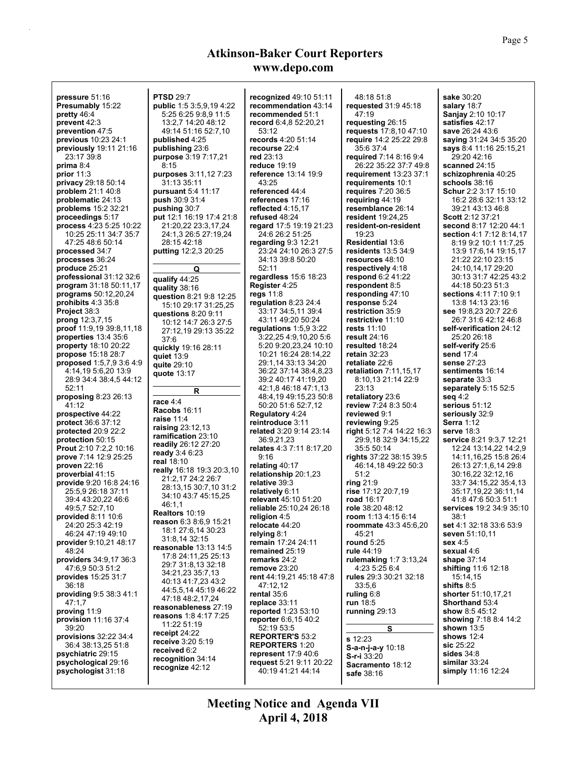| pressure 51:16                  | <b>PTSD 29:7</b>                | recognized 49:10 51:11         | 48:18 51:8                    | sake 30:20                     |
|---------------------------------|---------------------------------|--------------------------------|-------------------------------|--------------------------------|
| Presumably 15:22                | <b>public</b> 1:5 3:5,9,19 4:22 | recommendation 43:14           | <b>requested</b> 31:9 45:18   | salary 18:7                    |
| pretty $46.4$                   | 5:25 6:25 9:8.9 11:5            | recommended 51:1               | 47:19                         | Sanjay 2:10 10:17              |
| prevent 42:3                    | 13:2,7 14:20 48:12              | record 6:4,8 52:20,21          | requesting 26:15              | satisfies 42:17                |
| prevention 47:5                 | 49:14 51:16 52:7,10             | 53:12                          | <b>requests</b> 17:8,10 47:10 | save 26:24 43:6                |
| <b>previous</b> 10:23 24:1      | published 4:25                  | records 4:20 51:14             | require 14:2 25:22 29:8       | <b>saying 31:24 34:5 35:20</b> |
| previously 19:11 21:16          | publishing 23:6                 | recourse 22:4                  | 35 6 37 4                     | says 8:4 11:16 25:15.21        |
| 23:17 39:8                      | <b>purpose</b> 3:19 7:17,21     | red 23:13                      | required 7:14 8:16 9:4        | 29:20 42:16                    |
| prima $8.4$                     | 8:15                            | reduce $19:19$                 | 26:22 35:22 37:7 49:8         | scanned 24:15                  |
| prior $11:3$                    | purposes 3:11,12 7:23           | reference 13:14 19:9           | requirement 13:23 37:1        | schizophrenia 40:25            |
| privacy 29:18 50:14             | 31:13 35:11                     | 43:25                          | requirements 10:1             | schools 38:16                  |
| <b>problem</b> 21:1 40:8        | <b>pursuant</b> 5.4 11:17       | referenced 44:4                | <b>requires</b> 7:20 36:5     | Schur 2:2 3:17 15:10           |
| problematic 24:13               | <b>push</b> 30:9 31:4           | references 17:16               | requiring 44:19               | 16:2 28:6 32:11 33:12          |
| <b>problems</b> 15:2 32:21      | pushing 30:7                    | reflected 4:15.17              | resemblance 26:14             | 39:21 43:13 46:8               |
| proceedings 5:17                | <b>put</b> 12:1 16:19 17:4 21:8 | refused 48:24                  | resident 19:24.25             | <b>Scott 2:12 37:21</b>        |
| process 4:23 5:25 10:22         | 21:20,22 23:3,17,24             | regard 17:5 19:19 21:23        | resident-on-resident          | second 8:17 12:20 44:1         |
| 10:25 25:11 34:7 35:7           | 24:1,3 26:5 27:19,24            | 24:6 26:2 51:25                | 19:23                         | section 4:1 7:12 8:14,17       |
| 47:25 48:6 50:14                | 28:15 42:18                     | regarding $9.3$ 12:21          | <b>Residential 13:6</b>       | 8:19 9:2 10:1 11:7,25          |
| processed 34:7                  | putting 12:2,3 20:25            | 23:24 24:10 26:3 27:5          | <b>residents</b> 13:5 34:9    | 13:9 17:6,14 19:15,17          |
| processes 36:24                 |                                 | 34:13 39:8 50:20               | resources 48:10               | 21:22 22:10 23:15              |
| produce 25:21                   | Q                               | 52:11                          | respectively 4:18             | 24:10,14,17 29:20              |
| professional $31:12$ $32:6$     | qualify 44:25                   | regardless $15.6$ 18:23        | respond $6.241:22$            | 30:13 31:7 42:25 43:2          |
| <b>program</b> 31:18 50:11,17   |                                 | Register 4:25                  | respondent 8:5                | 44:18 50:23 51:3               |
| <b>programs</b> 50:12,20,24     | quality 38:16                   | regs $11:8$                    | responding 47:10              | sections 4:11 7:10 9:1         |
| prohibits $4.335.8$             | question 8:21 9:8 12:25         | regulation $8.2324:4$          | response 5:24                 | 13:8 14:13 23:16               |
| Project 38:3                    | 15:10 29:17 31:25,25            | 33:17 34:5,11 39:4             | restriction 35:9              | see 19:8.23 20:7 22:6          |
| prong 12:3,7,15                 | questions 8:20 9:11             | 43:11 49:20 50:24              | restrictive 11:10             | 26:7 31:6 42:12 46:8           |
| <b>proof</b> 11:9,19 39:8,11,18 | 10:12 14:7 26:3 27:5            | regulations $1.5.93.22$        | <b>rests</b> 11:10            | self-verification 24:12        |
| properties $13.435.6$           | 27:12,19 29:13 35:22            | 3:22,25 4:9,10,20 5:6          | result $24:16$                | 25:20 26:18                    |
| <b>property</b> 18:10 20:22     | 37:6                            | 5:20 9:20,23,24 10:10          | resulted 18:24                | self-verify 25:6               |
| propose 15:18 28:7              | quickly 19:16 28:11             | 10:21 16:24 28:14,22           | retain $32:23$                | send 17:4                      |
| <b>proposed</b> 1:5,7,9 3:6 4:9 | quiet $13.9$                    | 29:1,14 33:13 34:20            | retaliate 22:6                | sense 27:23                    |
| 4:14,19 5:6,20 13:9             | quite 29:10                     | 36:22 37:14 38:4,8,23          | retaliation $7:11,15,17$      | sentiments 16:14               |
| 28:9 34:4 38:4,5 44:12          | quote 13:17                     | 39:2 40:17 41:19,20            | 8:10,13 21:14 22:9            | separate 33:3                  |
| 52:11                           |                                 | 42:1,8 46:18 47:1,13           | 23:13                         | separately 5:15 52:5           |
| proposing 8:23 26:13            | R                               | 48:4,19 49:15,23 50:8          | retaliatory 23:6              | seq $4:2$                      |
| 41:12                           | race $4:4$                      | 50:20 51:6 52:7,12             | review 7:24 8:3 50:4          | serious 51:12                  |
| prospective 44:22               | Racobs 16:11                    | Regulatory 4:24                | reviewed 9:1                  | seriously 32:9                 |
| <b>protect</b> 36:6 37:12       | raise $11:4$                    | reintroduce 3:11               | reviewing 9:25                | <b>Serra</b> 1:12              |
| <b>protected</b> 20:9 22:2      | raising $23:12,13$              | related 3:20 9:14 23:14        | right 5:12 7:4 14:22 16:3     | serve $18:3$                   |
| protection 50:15                | ramification 23:10              | 36:9,21,23                     | 29:9,18 32:9 34:15,22         | service 8:21 9:3,7 12:21       |
| Prout 2:10 7:2,2 10:16          | readily 26:12 27:20             | relates 4:3 7:11 8:17,20       | 35:5 50:14                    | 12:24 13:14,22 14:2,9          |
| prove 7:14 12:9 25:25           | ready 3:4 6:23                  | 9:16                           | rights 37:22 38:15 39:5       | 14:11,16,25 15:8 26:4          |
| proven 22:16                    | real 18:10                      | relating $40:17$               | 46:14,18 49:22 50:3           | 26:13 27:1,6,14 29:8           |
| proverbial 41:15                | really 16:18 19:3 20:3,10       | relationship 20:1,23           | 51:2                          | 30:16,22 32:12,16              |
| provide 9:20 16:8 24:16         | 21:2,17 24:2 26:7               | relative 39:3                  | ring $21:9$                   | 33:7 34:15,22 35:4,13          |
| 25:5,9 26:18 37:11              | 28:13.15 30:7.10 31:2           | relatively 6:11                | rise 17:12 20:7,19            | 35:17,19,22 36:11,14           |
| 39:4 43:20,22 46:6              | 34:10 43:7 45:15,25             | relevant 45:10 51:20           | <b>road</b> 16:17             | 41:8 47:6 50:3 51:1            |
| 49:5,7 52:7,10                  | 46:1,1                          | reliable 25:10,24 26:18        | role 38:20 48:12              | services 19:2 34:9 35:10       |
| <b>provided 8:11 10:6</b>       | <b>Realtors 10:19</b>           |                                | room $1:13$ 4:15 6:14         | 38:1                           |
| 24:20 25:3 42:19                | reason 6:3 8:6,9 15:21          | religion 4:5<br>relocate 44:20 | <b>roommate</b> 43:3 45:6,20  | <b>set</b> 4:1 32:18 33:6 53:9 |
| 46:24 47:19 49:10               | 18:1 27:6,14 30:23              | relying 8:1                    | 45.21                         | seven 51:10,11                 |
| provider 9:10,21 48:17          | 31:8,14 32:15                   | remain 17:24 24:11             | round $5:25$                  | sex <sub>4:5</sub>             |
| 48:24                           | reasonable 13:13 14:5           | remained 25:19                 | rule 44:19                    | sexual 4:6                     |
| providers 34:9,17 36:3          | 17:8 24:11.25 25:13             | remarks 24:2                   | rulemaking 1:7 3:13,24        | shape $37:14$                  |
| 47:6,9 50:3 51:2                | 29:7 31:8,13 32:18              |                                |                               | shifting 11:6 12:18            |
| provides 15:25 31:7             |                                 |                                |                               |                                |
|                                 | 34:21.23 35:7.13                | remove $23:20$                 | 4:23 5:25 6:4                 |                                |
|                                 | 40:13 41:7,23 43:2              | rent 44:19,21 45:18 47:8       | rules 29:3 30:21 32:18        | 15:14,15                       |
| 36:18                           | 44:5,5,14 45:19 46:22           | 47:12,12                       | 33:5,6                        | shifts 8:5                     |
| providing 9:5 38:3 41:1         | 47:18 48:2,17,24                | rental $35.6$                  | ruling $6:8$                  | shorter 51:10,17,21            |
| 47:1.7                          | reasonableness 27:19            | replace 33:11                  | run 18:5                      | Shorthand 53:4                 |
| proving 11:9                    | reasons 1:8 4:17 7:25           | <b>reported</b> 1:23 53:10     | running 29:13                 | show 8:5 45:12                 |
| provision 11:16 37:4            | 11:22 51:19                     | reporter 6:6,15 40:2           |                               | showing 7:18 8:4 14:2          |
| 39:20                           | receipt $24:22$                 | 52:19 53:5                     | S                             | shown $13:5$                   |
| provisions 32:22 34:4           | receive 3:20 5:19               | <b>REPORTER'S 53:2</b>         | s 12:23                       | shows 12:4                     |
| 36:4 38:13,25 51:8              | received 6:2                    | <b>REPORTERS 1:20</b>          | S-a-n-j-a-y 10:18             | sic 25:22                      |
| psychiatric 29:15               | recognition 34:14               | <b>represent</b> 17:9 40:6     | S-r-i 33:20                   | sides $34:8$                   |
| psychological 29:16             | recognize 42:12                 | request 5:21 9:11 20:22        | Sacramento 18:12              | similar $33:24$                |
| psychologist 31:18              |                                 | 40:19 41:21 44:14              | safe 38:16                    | simply 11:16 12:24             |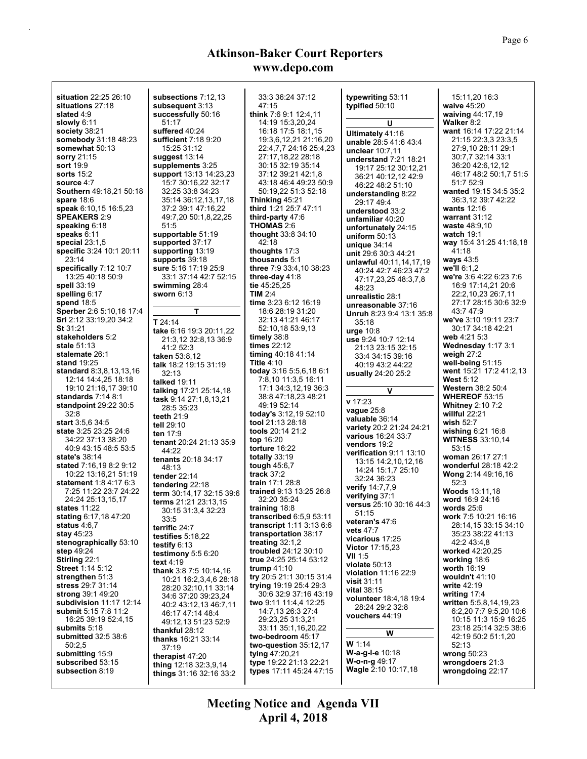| situation 22:25 26:10<br>situations 27:18<br>slated 4:9<br>slowly $6:11$<br>society 38:21<br>somebody 31:18 48:23<br>somewhat 50:13<br>sorry 21:15<br>sort 19:9<br>sorts $15:2$<br>source 4:7<br>Southern 49:18,21 50:18<br>spare $18:6$<br>speak 6:10,15 16:5,23<br><b>SPEAKERS 2:9</b><br>speaking 6:18 | subsections 7:12,13<br>subsequent 3:13<br>successfully 50:16<br>51:17<br>suffered 40:24<br>sufficient 7:18 9:20<br>15:25 31:12<br>suggest 13:14<br>supplements 3:25<br>support 13:13 14:23,23<br>15:7 30:16,22 32:17<br>32:25 33:8 34:23<br>35:14 36:12,13,17,18<br>37:2 39:1 47:16,22<br>49:7,20 50:1,8,22,25<br>51:5 | 33:3 36:24 37:12<br>47:15<br>think 7:6 9:1 12:4,11<br>14:19 15:3,20,24<br>16:18 17:5 18:1,15<br>19:3,6,12,21 21:16,20<br>22:4,7,7 24:16 25:4,23<br>27:17,18,22 28:18<br>30:15 32:19 35:14<br>37:12 39:21 42:1,8<br>43:18 46:4 49:23 50:9<br>50:19,22 51:3 52:18<br>Thinking 45:21<br>third 1:21 25:7 47:11<br>third-party 47:6<br><b>THOMAS 2:6</b> | typewriting 53:11<br>typified 50:10<br>U<br>Ultimately 41:16<br>unable 28:5 41:6 43:4<br>unclear $10:7,11$<br>understand 7:21 18:21<br>19:17 25:12 30:12,21<br>36:21 40:12,12 42:9<br>46:22 48:2 51:10<br>understanding $8:22$<br>29:17 49:4<br>understood 33:2<br>unfamiliar 40:20<br>unfortunately 24:15 | 15:11,20 16:3<br>waive 45:20<br>waiving 44:17,19<br><b>Walker 8:2</b><br>want 16:14 17:22 21:14<br>21:15 22:3,3 23:3,5<br>27:9,10 28:11 29:1<br>30:7,7 32:14 33:1<br>36:20 42:6,12,12<br>46:17 48:2 50:1,7 51:5<br>51.752.9<br>wanted 19:15 34:5 35:2<br>36:3,12 39:7 42:22<br>wants $12:16$<br>warrant $31:12$<br><b>waste</b> 48:9,10 |
|-----------------------------------------------------------------------------------------------------------------------------------------------------------------------------------------------------------------------------------------------------------------------------------------------------------|------------------------------------------------------------------------------------------------------------------------------------------------------------------------------------------------------------------------------------------------------------------------------------------------------------------------|-----------------------------------------------------------------------------------------------------------------------------------------------------------------------------------------------------------------------------------------------------------------------------------------------------------------------------------------------------|------------------------------------------------------------------------------------------------------------------------------------------------------------------------------------------------------------------------------------------------------------------------------------------------------------|-----------------------------------------------------------------------------------------------------------------------------------------------------------------------------------------------------------------------------------------------------------------------------------------------------------------------------------------|
| speaks $6.11$<br>special $23:1,5$                                                                                                                                                                                                                                                                         | supportable 51:19<br>supported 37:17                                                                                                                                                                                                                                                                                   | thought $33.834:10$<br>42:18                                                                                                                                                                                                                                                                                                                        | uniform $50:13$                                                                                                                                                                                                                                                                                            | <b>watch 19:1</b><br>way 15:4 31:25 41:18,18                                                                                                                                                                                                                                                                                            |
| specific 3:24 10:1 20:11                                                                                                                                                                                                                                                                                  | supporting 13:19                                                                                                                                                                                                                                                                                                       | thoughts $17:3$                                                                                                                                                                                                                                                                                                                                     | unique $34:14$<br>unit 29:6 30:3 44:21                                                                                                                                                                                                                                                                     | 41:18                                                                                                                                                                                                                                                                                                                                   |
| 23:14                                                                                                                                                                                                                                                                                                     | supports 39:18                                                                                                                                                                                                                                                                                                         | thousands 5:1                                                                                                                                                                                                                                                                                                                                       | unlawful 40:11,14,17,19                                                                                                                                                                                                                                                                                    | ways $43.5$                                                                                                                                                                                                                                                                                                                             |
| specifically 7:12 10:7<br>13:25 40:18 50:9                                                                                                                                                                                                                                                                | <b>sure</b> 5:16 17:19 25:9<br>33:1 37:14 42:7 52:15                                                                                                                                                                                                                                                                   | three 7:9 33:4, 10 38:23<br>three-day $41:8$                                                                                                                                                                                                                                                                                                        | 40:24 42:7 46:23 47:2                                                                                                                                                                                                                                                                                      | we'll 6:1,2<br>we're 3:6 4:22 6:23 7:6                                                                                                                                                                                                                                                                                                  |
| spell 33:19                                                                                                                                                                                                                                                                                               | swimming 28:4                                                                                                                                                                                                                                                                                                          | tie $45:25,25$                                                                                                                                                                                                                                                                                                                                      | 47:17,23,25 48:3,7,8<br>48:23                                                                                                                                                                                                                                                                              | 16:9 17:14,21 20:6                                                                                                                                                                                                                                                                                                                      |
| spelling 6:17                                                                                                                                                                                                                                                                                             | sworn $6:13$                                                                                                                                                                                                                                                                                                           | <b>TIM 2:4</b>                                                                                                                                                                                                                                                                                                                                      | unrealistic 28:1                                                                                                                                                                                                                                                                                           | 22:2,10,23 26:7,11                                                                                                                                                                                                                                                                                                                      |
| spend $18:5$<br>Sperber 2:6 5:10,16 17:4                                                                                                                                                                                                                                                                  | т                                                                                                                                                                                                                                                                                                                      | time 3:23 6:12 16:19<br>18:6 28:19 31:20                                                                                                                                                                                                                                                                                                            | unreasonable 37:16                                                                                                                                                                                                                                                                                         | 27:17 28:15 30:6 32:9<br>43.747.9                                                                                                                                                                                                                                                                                                       |
| Sri 2:12 33:19,20 34:2                                                                                                                                                                                                                                                                                    | $T$ 24:14                                                                                                                                                                                                                                                                                                              | 32:13 41:21 46:17                                                                                                                                                                                                                                                                                                                                   | <b>Unruh 8:23 9:4 13:1 35:8</b><br>35:18                                                                                                                                                                                                                                                                   | we've 3:10 19:11 23:7                                                                                                                                                                                                                                                                                                                   |
| St 31:21                                                                                                                                                                                                                                                                                                  | take 6:16 19:3 20:11,22                                                                                                                                                                                                                                                                                                | 52:10,18 53:9,13                                                                                                                                                                                                                                                                                                                                    | urge $10:8$                                                                                                                                                                                                                                                                                                | 30:17 34:18 42:21                                                                                                                                                                                                                                                                                                                       |
| stakeholders 5:2<br>stale 51:13                                                                                                                                                                                                                                                                           | 21:3,12 32:8,13 36:9                                                                                                                                                                                                                                                                                                   | timely 38:8<br>times 22:12                                                                                                                                                                                                                                                                                                                          | use 9:24 10:7 12:14                                                                                                                                                                                                                                                                                        | web 4:21 5:3<br>Wednesday 1:17 3:1                                                                                                                                                                                                                                                                                                      |
| stalemate 26:1                                                                                                                                                                                                                                                                                            | 41:2 52:3<br>taken 53:8,12                                                                                                                                                                                                                                                                                             | timing 40.18 41:14                                                                                                                                                                                                                                                                                                                                  | 21:13 23:15 32:15<br>33:4 34:15 39:16                                                                                                                                                                                                                                                                      | weigh $27:2$                                                                                                                                                                                                                                                                                                                            |
| <b>stand</b> 19:25                                                                                                                                                                                                                                                                                        | talk 18:2 19:15 31:19                                                                                                                                                                                                                                                                                                  | <b>Title 4:10</b>                                                                                                                                                                                                                                                                                                                                   | 40:19 43:2 44:22                                                                                                                                                                                                                                                                                           | well-being $51:15$                                                                                                                                                                                                                                                                                                                      |
| <b>standard</b> 8:3,8,13,13,16                                                                                                                                                                                                                                                                            | 32:13                                                                                                                                                                                                                                                                                                                  | today 3:16 5:5,6,18 6:1                                                                                                                                                                                                                                                                                                                             | usually 24:20 25:2                                                                                                                                                                                                                                                                                         | went 15:21 17:2 41:2,13                                                                                                                                                                                                                                                                                                                 |
| 12:14 14:4,25 18:18<br>19:10 21:16,17 39:10                                                                                                                                                                                                                                                               | talked 19:11                                                                                                                                                                                                                                                                                                           | 7:8,10 11:3,5 16:11<br>17:1 34:3,12,19 36:3                                                                                                                                                                                                                                                                                                         |                                                                                                                                                                                                                                                                                                            | <b>West 5:12</b><br><b>Western</b> 38:2 50:4                                                                                                                                                                                                                                                                                            |
| standards 7:14 8:1                                                                                                                                                                                                                                                                                        | talking 17:21 25:14,18<br>task 9:14 27:1,8,13,21                                                                                                                                                                                                                                                                       | 38:8 47:18,23 48:21                                                                                                                                                                                                                                                                                                                                 | V                                                                                                                                                                                                                                                                                                          | <b>WHEREOF 53:15</b>                                                                                                                                                                                                                                                                                                                    |
| standpoint 29:22 30:5                                                                                                                                                                                                                                                                                     | 28:5 35:23                                                                                                                                                                                                                                                                                                             | 49:19 52:14                                                                                                                                                                                                                                                                                                                                         | v 17:23<br>vague 25:8                                                                                                                                                                                                                                                                                      | <b>Whitney 2:10 7:2</b>                                                                                                                                                                                                                                                                                                                 |
| 32:8                                                                                                                                                                                                                                                                                                      | teeth $21.9$                                                                                                                                                                                                                                                                                                           | today's 3:12,19 52:10                                                                                                                                                                                                                                                                                                                               | valuable 36:14                                                                                                                                                                                                                                                                                             | willful 22:21                                                                                                                                                                                                                                                                                                                           |
| <b>start</b> $3.5,6.34.5$<br><b>state</b> 3:25 23:25 24:6                                                                                                                                                                                                                                                 | tell 29:10                                                                                                                                                                                                                                                                                                             | tool 21:13 28:18<br>tools 20:14 21:2                                                                                                                                                                                                                                                                                                                | variety 20:2 21:24 24:21                                                                                                                                                                                                                                                                                   | <b>wish 52:7</b><br>wishing 6:21 16:8                                                                                                                                                                                                                                                                                                   |
| 34:22 37:13 38:20                                                                                                                                                                                                                                                                                         | ten 17:9<br>tenant 20:24 21:13 35:9                                                                                                                                                                                                                                                                                    | top 16:20                                                                                                                                                                                                                                                                                                                                           | various 16:24 33:7                                                                                                                                                                                                                                                                                         | <b>WITNESS</b> 33:10,14                                                                                                                                                                                                                                                                                                                 |
| 40.9 43:15 48:5 53:5                                                                                                                                                                                                                                                                                      | 44:22                                                                                                                                                                                                                                                                                                                  | torture $16:22$                                                                                                                                                                                                                                                                                                                                     | vendors 19:2<br>verification 9:11 13:10                                                                                                                                                                                                                                                                    | 53:15                                                                                                                                                                                                                                                                                                                                   |
| state's 38:14                                                                                                                                                                                                                                                                                             | tenants 20:18 34:17                                                                                                                                                                                                                                                                                                    | totally $33:19$                                                                                                                                                                                                                                                                                                                                     | 13:15 14:2,10,12,16                                                                                                                                                                                                                                                                                        | woman 26:17 27:1                                                                                                                                                                                                                                                                                                                        |
| stated 7:16,19 8:2 9:12<br>10:22 13:16,21 51:19                                                                                                                                                                                                                                                           | 48:13                                                                                                                                                                                                                                                                                                                  | tough $45:6,7$<br>track $37:2$                                                                                                                                                                                                                                                                                                                      | 14:24 15:1.7 25:10                                                                                                                                                                                                                                                                                         | wonderful 28:18 42:2<br>Wong 2:14 49:16,16                                                                                                                                                                                                                                                                                              |
| <b>statement</b> 1:8 4:17 6:3                                                                                                                                                                                                                                                                             | <b>tender</b> 22:14<br>tendering 22:18                                                                                                                                                                                                                                                                                 | train 17:1 28:8                                                                                                                                                                                                                                                                                                                                     | 32:24 36:23                                                                                                                                                                                                                                                                                                | 52:3                                                                                                                                                                                                                                                                                                                                    |
| 7:25 11:22 23:7 24:22                                                                                                                                                                                                                                                                                     | term 30:14,17 32:15 39:6                                                                                                                                                                                                                                                                                               | trained 9:13 13:25 26:8                                                                                                                                                                                                                                                                                                                             | verify 14:7,7,9<br>verifying 37:1                                                                                                                                                                                                                                                                          | <b>Woods</b> 13:11,18                                                                                                                                                                                                                                                                                                                   |
| 24:24 25:13.15.17<br>states 11:22                                                                                                                                                                                                                                                                         | terms 21:21 23:13,15                                                                                                                                                                                                                                                                                                   | 32:20 35:24<br>training 18:8                                                                                                                                                                                                                                                                                                                        | versus 25:10 30:16 44:3                                                                                                                                                                                                                                                                                    | word 16:9 24:16<br>words $25.6$                                                                                                                                                                                                                                                                                                         |
| stating 6:17,18 47:20                                                                                                                                                                                                                                                                                     | 30:15 31:3,4 32:23<br>33:5                                                                                                                                                                                                                                                                                             | transcribed 6:5.9 53:11                                                                                                                                                                                                                                                                                                                             | 51:15                                                                                                                                                                                                                                                                                                      | work 7:5 10:21 16:16                                                                                                                                                                                                                                                                                                                    |
| status $4.6,7$                                                                                                                                                                                                                                                                                            | terrific 24:7                                                                                                                                                                                                                                                                                                          | transcript 1:11 3:13 6:6                                                                                                                                                                                                                                                                                                                            | veteran's 47:6<br><b>vets</b> 47:7                                                                                                                                                                                                                                                                         | 28:14,15 33:15 34:10                                                                                                                                                                                                                                                                                                                    |
| stay 45:23                                                                                                                                                                                                                                                                                                | testifies 5:18,22                                                                                                                                                                                                                                                                                                      | transportation 38:17                                                                                                                                                                                                                                                                                                                                | vicarious 17:25                                                                                                                                                                                                                                                                                            | 35:23 38:22 41:13                                                                                                                                                                                                                                                                                                                       |
| stenographically 53:10<br>step $49.24$                                                                                                                                                                                                                                                                    | testify 6:13                                                                                                                                                                                                                                                                                                           | treating $32:1,2$<br>troubled 24:12 30:10                                                                                                                                                                                                                                                                                                           | <b>Victor</b> 17:15,23                                                                                                                                                                                                                                                                                     | 42:2 43:4,8<br>worked 42:20,25                                                                                                                                                                                                                                                                                                          |
| <b>Stirling 22:1</b>                                                                                                                                                                                                                                                                                      | testimony 5:5 6:20<br>text $4:19$                                                                                                                                                                                                                                                                                      | true 24:25 25:14 53:12                                                                                                                                                                                                                                                                                                                              | VII 1:5                                                                                                                                                                                                                                                                                                    | working 18:6                                                                                                                                                                                                                                                                                                                            |
| Street 1:14 5:12                                                                                                                                                                                                                                                                                          | thank 3:8 7:5 10:14,16                                                                                                                                                                                                                                                                                                 | trump $41:10$                                                                                                                                                                                                                                                                                                                                       | violate 50:13<br>violation 11:16 22:9                                                                                                                                                                                                                                                                      | worth 16:19                                                                                                                                                                                                                                                                                                                             |
| strengthen 51:3<br>stress 29:7 31:14                                                                                                                                                                                                                                                                      | 10:21 16:2,3,4,6 28:18                                                                                                                                                                                                                                                                                                 | try 20:5 21:1 30:15 31:4<br>trying 19:19 25:4 29:3                                                                                                                                                                                                                                                                                                  | <b>visit</b> 31:11                                                                                                                                                                                                                                                                                         | <b>wouldn't</b> 41:10<br>write 42:19                                                                                                                                                                                                                                                                                                    |
| strong 39:1 49:20                                                                                                                                                                                                                                                                                         | 28:20 32:10,11 33:14<br>34:6 37:20 39:23,24                                                                                                                                                                                                                                                                            | 30:6 32:9 37:16 43:19                                                                                                                                                                                                                                                                                                                               | <b>vital</b> 38:15                                                                                                                                                                                                                                                                                         | writing 17:4                                                                                                                                                                                                                                                                                                                            |
| <b>subdivision</b> 11:17 12:14                                                                                                                                                                                                                                                                            | 40:2 43:12.13 46:7.11                                                                                                                                                                                                                                                                                                  | two 9:11 11:4,4 12:25                                                                                                                                                                                                                                                                                                                               | <b>volunteer</b> 18:4,18 19:4<br>28:24 29:2 32:8                                                                                                                                                                                                                                                           | written 5:5,8,14,19,23                                                                                                                                                                                                                                                                                                                  |
| <b>submit</b> 5:15 7:8 11:2                                                                                                                                                                                                                                                                               | 46:17 47:14 48:4                                                                                                                                                                                                                                                                                                       | 14:7,13 26:3 27:4                                                                                                                                                                                                                                                                                                                                   | vouchers 44:19                                                                                                                                                                                                                                                                                             | 6:2,20 7:7 9:5,20 10:6                                                                                                                                                                                                                                                                                                                  |
| 16:25 39:19 52:4.15<br>submits 5:18                                                                                                                                                                                                                                                                       | 49:12,13 51:23 52:9                                                                                                                                                                                                                                                                                                    | 29:23,25 31:3,21<br>33:11 35:1,16,20,22                                                                                                                                                                                                                                                                                                             |                                                                                                                                                                                                                                                                                                            | 10:15 11:3 15:9 16:25<br>23:18 25:14 32:5 38:6                                                                                                                                                                                                                                                                                          |
| <b>submitted</b> 32:5 38:6                                                                                                                                                                                                                                                                                | thankful 28:12<br>thanks 16:21 33:14                                                                                                                                                                                                                                                                                   | two-bedroom 45:17                                                                                                                                                                                                                                                                                                                                   | W                                                                                                                                                                                                                                                                                                          | 42:19 50:2 51:1.20                                                                                                                                                                                                                                                                                                                      |
| 50:2,5                                                                                                                                                                                                                                                                                                    | 37:19                                                                                                                                                                                                                                                                                                                  | two-question 35:12,17                                                                                                                                                                                                                                                                                                                               | <b>W</b> 1:14                                                                                                                                                                                                                                                                                              | 52:13                                                                                                                                                                                                                                                                                                                                   |
| submitting 15:9                                                                                                                                                                                                                                                                                           | therapist 47:20                                                                                                                                                                                                                                                                                                        | tying 47:20,21                                                                                                                                                                                                                                                                                                                                      | W-a-g-I-e 10:18<br><b>W-o-n-g</b> 49:17                                                                                                                                                                                                                                                                    | wrong $50:23$                                                                                                                                                                                                                                                                                                                           |
| subscribed 53:15<br>subsection 8:19                                                                                                                                                                                                                                                                       | thing 12:18 32:3,9,14                                                                                                                                                                                                                                                                                                  | type 19:22 21:13 22:21<br>types 17:11 45:24 47:15                                                                                                                                                                                                                                                                                                   | Wagle 2:10 10:17,18                                                                                                                                                                                                                                                                                        | wrongdoers 21:3<br>wrongdoing 22:17                                                                                                                                                                                                                                                                                                     |
|                                                                                                                                                                                                                                                                                                           | things 31:16 32:16 33:2                                                                                                                                                                                                                                                                                                |                                                                                                                                                                                                                                                                                                                                                     |                                                                                                                                                                                                                                                                                                            |                                                                                                                                                                                                                                                                                                                                         |